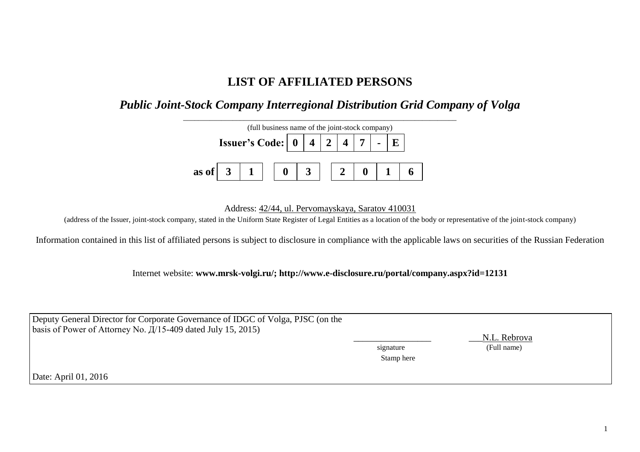# **LIST OF AFFILIATED PERSONS**

## *Public Joint-Stock Company Interregional Distribution Grid Company of Volga*



Address: 42/44, ul. Pervomayskaya, Saratov 410031

(address of the Issuer, joint-stock company, stated in the Uniform State Register of Legal Entities as a location of the body or representative of the joint-stock company)

Information contained in this list of affiliated persons is subject to disclosure in compliance with the applicable laws on securities of the Russian Federation

Internet website: **www.mrsk-volgi.ru/; http://www.e-disclosure.ru/portal/company.aspx?id=12131**

| Deputy General Director for Corporate Governance of IDGC of Volga, PJSC (on the | signature  | N.L. Rebrova |
|---------------------------------------------------------------------------------|------------|--------------|
| basis of Power of Attorney No. $\frac{\pi}{15-409}$ dated July 15, 2015)        | Stamp here | (Full name)  |
| Date: April 01, 2016                                                            |            |              |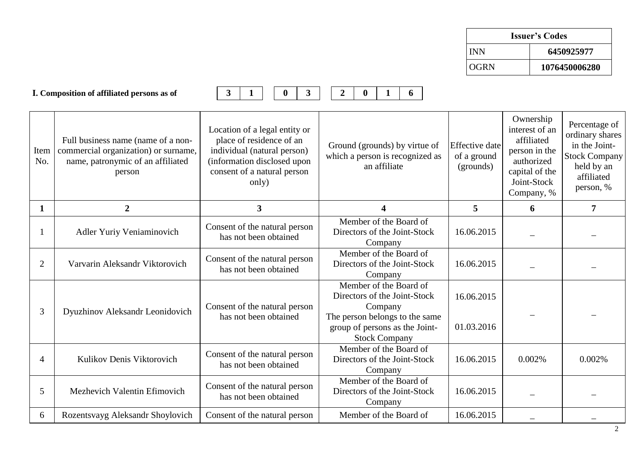| <b>Issuer's Codes</b> |               |  |  |  |
|-----------------------|---------------|--|--|--|
| <b>INN</b>            | 6450925977    |  |  |  |
| <b>OGRN</b>           | 1076450006280 |  |  |  |

|                | I. Composition of affiliated persons as of                                                                                | $\overline{\mathbf{3}}$<br>3<br>$\bf{0}$                                                                                                                        | $\overline{2}$<br>$\mathbf{0}$<br>6                                                                                                                           |                                                   |                                                                                                                         |                                                                                                             |
|----------------|---------------------------------------------------------------------------------------------------------------------------|-----------------------------------------------------------------------------------------------------------------------------------------------------------------|---------------------------------------------------------------------------------------------------------------------------------------------------------------|---------------------------------------------------|-------------------------------------------------------------------------------------------------------------------------|-------------------------------------------------------------------------------------------------------------|
| Item<br>No.    | Full business name (name of a non-<br>commercial organization) or surname,<br>name, patronymic of an affiliated<br>person | Location of a legal entity or<br>place of residence of an<br>individual (natural person)<br>(information disclosed upon<br>consent of a natural person<br>only) | Ground (grounds) by virtue of<br>which a person is recognized as<br>an affiliate                                                                              | <b>Effective</b> date<br>of a ground<br>(grounds) | Ownership<br>interest of an<br>affiliated<br>person in the<br>authorized<br>capital of the<br>Joint-Stock<br>Company, % | Percentage of<br>ordinary shares<br>in the Joint-<br>Stock Company<br>held by an<br>affiliated<br>person, % |
| $\mathbf{1}$   | $\overline{2}$                                                                                                            | $\overline{\mathbf{3}}$                                                                                                                                         | $\overline{\mathbf{4}}$                                                                                                                                       | 5                                                 | 6                                                                                                                       | $\overline{7}$                                                                                              |
|                | Adler Yuriy Veniaminovich                                                                                                 | Consent of the natural person<br>has not been obtained                                                                                                          | Member of the Board of<br>Directors of the Joint-Stock<br>Company                                                                                             | 16.06.2015                                        |                                                                                                                         |                                                                                                             |
| $\overline{2}$ | Varvarin Aleksandr Viktorovich                                                                                            | Consent of the natural person<br>has not been obtained                                                                                                          | Member of the Board of<br>Directors of the Joint-Stock<br>Company                                                                                             | 16.06.2015                                        |                                                                                                                         |                                                                                                             |
| 3              | Dyuzhinov Aleksandr Leonidovich                                                                                           | Consent of the natural person<br>has not been obtained                                                                                                          | Member of the Board of<br>Directors of the Joint-Stock<br>Company<br>The person belongs to the same<br>group of persons as the Joint-<br><b>Stock Company</b> | 16.06.2015<br>01.03.2016                          |                                                                                                                         |                                                                                                             |
| 4              | Kulikov Denis Viktorovich                                                                                                 | Consent of the natural person<br>has not been obtained                                                                                                          | Member of the Board of<br>Directors of the Joint-Stock<br>Company                                                                                             | 16.06.2015                                        | 0.002%                                                                                                                  | 0.002%                                                                                                      |
| 5              | Mezhevich Valentin Efimovich                                                                                              | Consent of the natural person<br>has not been obtained                                                                                                          | Member of the Board of<br>Directors of the Joint-Stock<br>Company                                                                                             | 16.06.2015                                        |                                                                                                                         |                                                                                                             |
| 6              | Rozentsvayg Aleksandr Shoylovich                                                                                          | Consent of the natural person                                                                                                                                   | Member of the Board of                                                                                                                                        | 16.06.2015                                        |                                                                                                                         |                                                                                                             |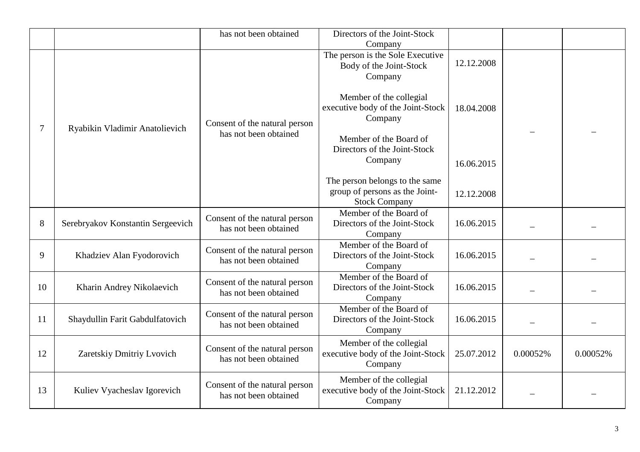|                |                                   | has not been obtained                                  | Directors of the Joint-Stock<br>Company                                                  |            |          |          |
|----------------|-----------------------------------|--------------------------------------------------------|------------------------------------------------------------------------------------------|------------|----------|----------|
|                |                                   |                                                        | The person is the Sole Executive<br>Body of the Joint-Stock<br>Company                   | 12.12.2008 |          |          |
| $\overline{7}$ | Ryabikin Vladimir Anatolievich    | Consent of the natural person                          | Member of the collegial<br>executive body of the Joint-Stock<br>Company                  | 18.04.2008 |          |          |
|                |                                   | has not been obtained                                  | Member of the Board of<br>Directors of the Joint-Stock<br>Company                        | 16.06.2015 |          |          |
|                |                                   |                                                        | The person belongs to the same<br>group of persons as the Joint-<br><b>Stock Company</b> | 12.12.2008 |          |          |
| 8              | Serebryakov Konstantin Sergeevich | Consent of the natural person<br>has not been obtained | Member of the Board of<br>Directors of the Joint-Stock<br>Company                        | 16.06.2015 |          |          |
| 9              | Khadziev Alan Fyodorovich         | Consent of the natural person<br>has not been obtained | Member of the Board of<br>Directors of the Joint-Stock<br>Company                        | 16.06.2015 |          |          |
| 10             | Kharin Andrey Nikolaevich         | Consent of the natural person<br>has not been obtained | Member of the Board of<br>Directors of the Joint-Stock<br>Company                        | 16.06.2015 |          |          |
| 11             | Shaydullin Farit Gabdulfatovich   | Consent of the natural person<br>has not been obtained | Member of the Board of<br>Directors of the Joint-Stock<br>Company                        | 16.06.2015 |          |          |
| 12             | Zaretskiy Dmitriy Lvovich         | Consent of the natural person<br>has not been obtained | Member of the collegial<br>executive body of the Joint-Stock<br>Company                  | 25.07.2012 | 0.00052% | 0.00052% |
| 13             | Kuliev Vyacheslav Igorevich       | Consent of the natural person<br>has not been obtained | Member of the collegial<br>executive body of the Joint-Stock<br>Company                  | 21.12.2012 |          |          |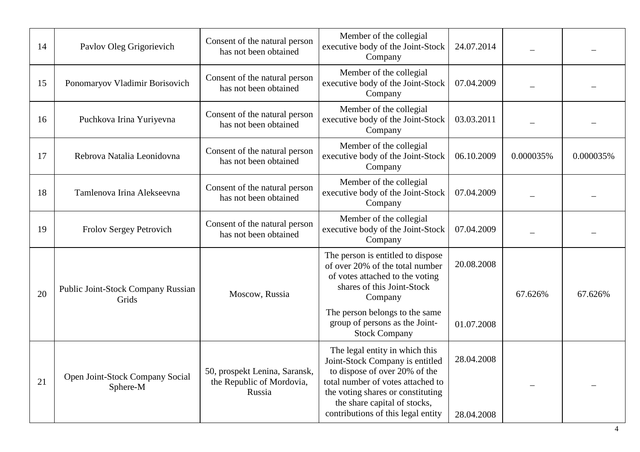| 14 | Pavlov Oleg Grigorievich                    | Consent of the natural person<br>has not been obtained               | Member of the collegial<br>executive body of the Joint-Stock<br>Company                                                                                                                                                                            | 24.07.2014               |           |           |
|----|---------------------------------------------|----------------------------------------------------------------------|----------------------------------------------------------------------------------------------------------------------------------------------------------------------------------------------------------------------------------------------------|--------------------------|-----------|-----------|
| 15 | Ponomaryov Vladimir Borisovich              | Consent of the natural person<br>has not been obtained               | Member of the collegial<br>executive body of the Joint-Stock<br>Company                                                                                                                                                                            | 07.04.2009               |           |           |
| 16 | Puchkova Irina Yuriyevna                    | Consent of the natural person<br>has not been obtained               | Member of the collegial<br>executive body of the Joint-Stock<br>Company                                                                                                                                                                            | 03.03.2011               |           |           |
| 17 | Rebrova Natalia Leonidovna                  | Consent of the natural person<br>has not been obtained               | Member of the collegial<br>executive body of the Joint-Stock<br>Company                                                                                                                                                                            | 06.10.2009               | 0.000035% | 0.000035% |
| 18 | Tamlenova Irina Alekseevna                  | Consent of the natural person<br>has not been obtained               | Member of the collegial<br>executive body of the Joint-Stock<br>Company                                                                                                                                                                            | 07.04.2009               |           |           |
| 19 | Frolov Sergey Petrovich                     | Consent of the natural person<br>has not been obtained               | Member of the collegial<br>executive body of the Joint-Stock<br>Company                                                                                                                                                                            | 07.04.2009               |           |           |
| 20 | Public Joint-Stock Company Russian<br>Grids | Moscow, Russia                                                       | The person is entitled to dispose<br>of over 20% of the total number<br>of votes attached to the voting<br>shares of this Joint-Stock<br>Company                                                                                                   | 20.08.2008               | 67.626%   | 67.626%   |
|    |                                             |                                                                      | The person belongs to the same<br>group of persons as the Joint-<br><b>Stock Company</b>                                                                                                                                                           | 01.07.2008               |           |           |
| 21 | Open Joint-Stock Company Social<br>Sphere-M | 50, prospekt Lenina, Saransk,<br>the Republic of Mordovia,<br>Russia | The legal entity in which this<br>Joint-Stock Company is entitled<br>to dispose of over 20% of the<br>total number of votes attached to<br>the voting shares or constituting<br>the share capital of stocks,<br>contributions of this legal entity | 28.04.2008<br>28.04.2008 |           |           |
|    |                                             |                                                                      |                                                                                                                                                                                                                                                    |                          |           |           |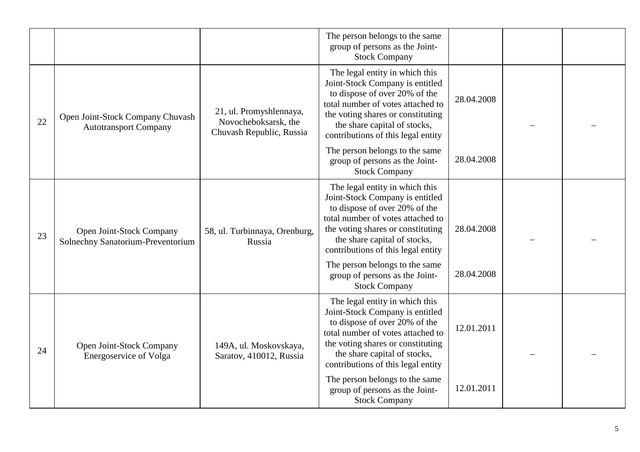|    |                                                                  |                                                                             | The person belongs to the same<br>group of persons as the Joint-<br><b>Stock Company</b>                                                                                                                                                           |            |  |
|----|------------------------------------------------------------------|-----------------------------------------------------------------------------|----------------------------------------------------------------------------------------------------------------------------------------------------------------------------------------------------------------------------------------------------|------------|--|
| 22 | Open Joint-Stock Company Chuvash<br><b>Autotransport Company</b> | 21, ul. Promyshlennaya,<br>Novocheboksarsk, the<br>Chuvash Republic, Russia | The legal entity in which this<br>Joint-Stock Company is entitled<br>to dispose of over 20% of the<br>total number of votes attached to<br>the voting shares or constituting<br>the share capital of stocks,<br>contributions of this legal entity | 28.04.2008 |  |
|    |                                                                  |                                                                             | The person belongs to the same<br>group of persons as the Joint-<br><b>Stock Company</b>                                                                                                                                                           | 28.04.2008 |  |
| 23 | Open Joint-Stock Company<br>Solnechny Sanatorium-Preventorium    | 58, ul. Turbinnaya, Orenburg,<br>Russia                                     | The legal entity in which this<br>Joint-Stock Company is entitled<br>to dispose of over 20% of the<br>total number of votes attached to<br>the voting shares or constituting<br>the share capital of stocks,<br>contributions of this legal entity | 28.04.2008 |  |
|    |                                                                  |                                                                             | The person belongs to the same<br>group of persons as the Joint-<br><b>Stock Company</b>                                                                                                                                                           | 28.04.2008 |  |
| 24 | Open Joint-Stock Company<br>Energoservice of Volga               | 149A, ul. Moskovskaya,<br>Saratov, 410012, Russia                           | The legal entity in which this<br>Joint-Stock Company is entitled<br>to dispose of over 20% of the<br>total number of votes attached to<br>the voting shares or constituting<br>the share capital of stocks,<br>contributions of this legal entity | 12.01.2011 |  |
|    |                                                                  |                                                                             | The person belongs to the same<br>group of persons as the Joint-<br><b>Stock Company</b>                                                                                                                                                           | 12.01.2011 |  |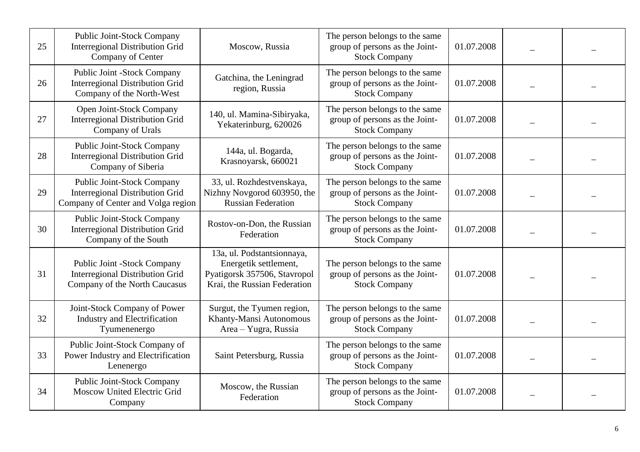| 25 | Public Joint-Stock Company<br><b>Interregional Distribution Grid</b><br>Company of Center                         | Moscow, Russia                                                                                                      | The person belongs to the same<br>group of persons as the Joint-<br><b>Stock Company</b> | 01.07.2008 |  |
|----|-------------------------------------------------------------------------------------------------------------------|---------------------------------------------------------------------------------------------------------------------|------------------------------------------------------------------------------------------|------------|--|
| 26 | Public Joint -Stock Company<br><b>Interregional Distribution Grid</b><br>Company of the North-West                | Gatchina, the Leningrad<br>region, Russia                                                                           | The person belongs to the same<br>group of persons as the Joint-<br><b>Stock Company</b> | 01.07.2008 |  |
| 27 | Open Joint-Stock Company<br><b>Interregional Distribution Grid</b><br>Company of Urals                            | 140, ul. Mamina-Sibiryaka,<br>Yekaterinburg, 620026                                                                 | The person belongs to the same<br>group of persons as the Joint-<br><b>Stock Company</b> | 01.07.2008 |  |
| 28 | Public Joint-Stock Company<br><b>Interregional Distribution Grid</b><br>Company of Siberia                        | 144a, ul. Bogarda,<br>Krasnoyarsk, 660021                                                                           | The person belongs to the same<br>group of persons as the Joint-<br><b>Stock Company</b> | 01.07.2008 |  |
| 29 | <b>Public Joint-Stock Company</b><br><b>Interregional Distribution Grid</b><br>Company of Center and Volga region | 33, ul. Rozhdestvenskaya,<br>Nizhny Novgorod 603950, the<br><b>Russian Federation</b>                               | The person belongs to the same<br>group of persons as the Joint-<br><b>Stock Company</b> | 01.07.2008 |  |
| 30 | Public Joint-Stock Company<br><b>Interregional Distribution Grid</b><br>Company of the South                      | Rostov-on-Don, the Russian<br>Federation                                                                            | The person belongs to the same<br>group of persons as the Joint-<br><b>Stock Company</b> | 01.07.2008 |  |
| 31 | Public Joint -Stock Company<br><b>Interregional Distribution Grid</b><br>Company of the North Caucasus            | 13a, ul. Podstantsionnaya,<br>Energetik settlement,<br>Pyatigorsk 357506, Stavropol<br>Krai, the Russian Federation | The person belongs to the same<br>group of persons as the Joint-<br><b>Stock Company</b> | 01.07.2008 |  |
| 32 | Joint-Stock Company of Power<br><b>Industry and Electrification</b><br>Tyumenenergo                               | Surgut, the Tyumen region,<br>Khanty-Mansi Autonomous<br>Area - Yugra, Russia                                       | The person belongs to the same<br>group of persons as the Joint-<br><b>Stock Company</b> | 01.07.2008 |  |
| 33 | Public Joint-Stock Company of<br>Power Industry and Electrification<br>Lenenergo                                  | Saint Petersburg, Russia                                                                                            | The person belongs to the same<br>group of persons as the Joint-<br><b>Stock Company</b> | 01.07.2008 |  |
| 34 | <b>Public Joint-Stock Company</b><br>Moscow United Electric Grid<br>Company                                       | Moscow, the Russian<br>Federation                                                                                   | The person belongs to the same<br>group of persons as the Joint-<br><b>Stock Company</b> | 01.07.2008 |  |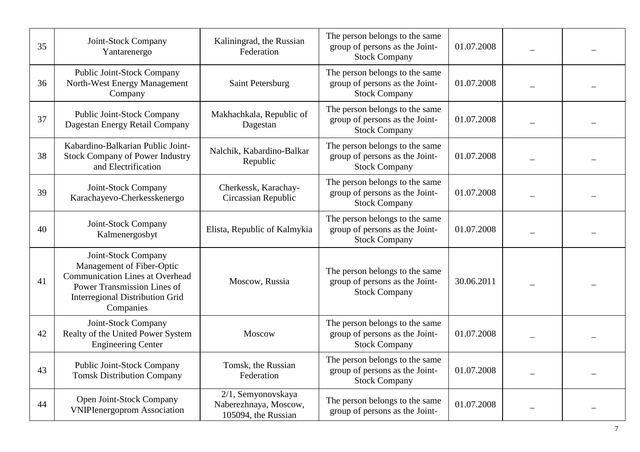| 35 | Joint-Stock Company<br>Yantarenergo                                                                                                                                              | Kaliningrad, the Russian<br>Federation                             | The person belongs to the same<br>group of persons as the Joint-<br><b>Stock Company</b> | 01.07.2008 |  |
|----|----------------------------------------------------------------------------------------------------------------------------------------------------------------------------------|--------------------------------------------------------------------|------------------------------------------------------------------------------------------|------------|--|
| 36 | <b>Public Joint-Stock Company</b><br>North-West Energy Management<br>Company                                                                                                     | Saint Petersburg                                                   | The person belongs to the same<br>group of persons as the Joint-<br><b>Stock Company</b> | 01.07.2008 |  |
| 37 | <b>Public Joint-Stock Company</b><br>Dagestan Energy Retail Company                                                                                                              | Makhachkala, Republic of<br>Dagestan                               | The person belongs to the same<br>group of persons as the Joint-<br><b>Stock Company</b> | 01.07.2008 |  |
| 38 | Kabardino-Balkarian Public Joint-<br><b>Stock Company of Power Industry</b><br>and Electrification                                                                               | Nalchik, Kabardino-Balkar<br>Republic                              | The person belongs to the same<br>group of persons as the Joint-<br><b>Stock Company</b> | 01.07.2008 |  |
| 39 | Joint-Stock Company<br>Karachayevo-Cherkesskenergo                                                                                                                               | Cherkessk, Karachay-<br>Circassian Republic                        | The person belongs to the same<br>group of persons as the Joint-<br><b>Stock Company</b> | 01.07.2008 |  |
| 40 | Joint-Stock Company<br>Kalmenergosbyt                                                                                                                                            | Elista, Republic of Kalmykia                                       | The person belongs to the same<br>group of persons as the Joint-<br><b>Stock Company</b> | 01.07.2008 |  |
| 41 | Joint-Stock Company<br>Management of Fiber-Optic<br><b>Communication Lines at Overhead</b><br>Power Transmission Lines of<br><b>Interregional Distribution Grid</b><br>Companies | Moscow, Russia                                                     | The person belongs to the same<br>group of persons as the Joint-<br><b>Stock Company</b> | 30.06.2011 |  |
| 42 | Joint-Stock Company<br>Realty of the United Power System<br><b>Engineering Center</b>                                                                                            | Moscow                                                             | The person belongs to the same<br>group of persons as the Joint-<br><b>Stock Company</b> | 01.07.2008 |  |
| 43 | <b>Public Joint-Stock Company</b><br><b>Tomsk Distribution Company</b>                                                                                                           | Tomsk, the Russian<br>Federation                                   | The person belongs to the same<br>group of persons as the Joint-<br><b>Stock Company</b> | 01.07.2008 |  |
| 44 | Open Joint-Stock Company<br><b>VNIPIenergoprom Association</b>                                                                                                                   | 2/1, Semyonovskaya<br>Naberezhnaya, Moscow,<br>105094, the Russian | The person belongs to the same<br>group of persons as the Joint-                         | 01.07.2008 |  |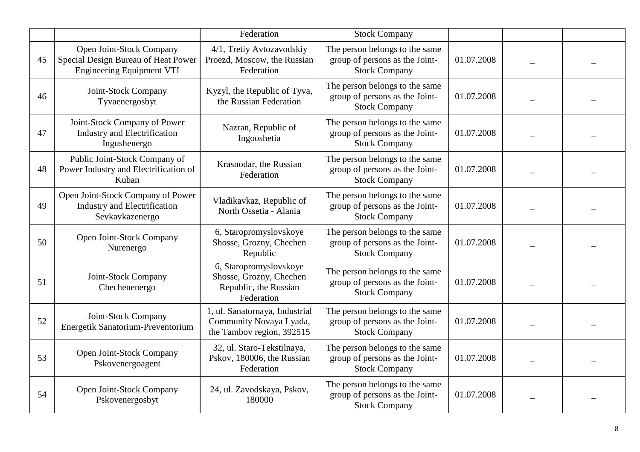|    |                                                                                                     | Federation                                                                               | <b>Stock Company</b>                                                                     |            |  |
|----|-----------------------------------------------------------------------------------------------------|------------------------------------------------------------------------------------------|------------------------------------------------------------------------------------------|------------|--|
| 45 | Open Joint-Stock Company<br>Special Design Bureau of Heat Power<br><b>Engineering Equipment VTI</b> | 4/1, Tretiy Avtozavodskiy<br>Proezd, Moscow, the Russian<br>Federation                   | The person belongs to the same<br>group of persons as the Joint-<br><b>Stock Company</b> | 01.07.2008 |  |
| 46 | Joint-Stock Company<br>Tyvaenergosbyt                                                               | Kyzyl, the Republic of Tyva,<br>the Russian Federation                                   | The person belongs to the same<br>group of persons as the Joint-<br><b>Stock Company</b> | 01.07.2008 |  |
| 47 | Joint-Stock Company of Power<br><b>Industry and Electrification</b><br>Ingushenergo                 | Nazran, Republic of<br>Ingooshetia                                                       | The person belongs to the same<br>group of persons as the Joint-<br><b>Stock Company</b> | 01.07.2008 |  |
| 48 | Public Joint-Stock Company of<br>Power Industry and Electrification of<br>Kuban                     | Krasnodar, the Russian<br>Federation                                                     | The person belongs to the same<br>group of persons as the Joint-<br><b>Stock Company</b> | 01.07.2008 |  |
| 49 | Open Joint-Stock Company of Power<br>Industry and Electrification<br>Sevkavkazenergo                | Vladikavkaz, Republic of<br>North Ossetia - Alania                                       | The person belongs to the same<br>group of persons as the Joint-<br><b>Stock Company</b> | 01.07.2008 |  |
| 50 | Open Joint-Stock Company<br>Nurenergo                                                               | 6, Staropromyslovskoye<br>Shosse, Grozny, Chechen<br>Republic                            | The person belongs to the same<br>group of persons as the Joint-<br><b>Stock Company</b> | 01.07.2008 |  |
| 51 | Joint-Stock Company<br>Chechenenergo                                                                | 6, Staropromyslovskoye<br>Shosse, Grozny, Chechen<br>Republic, the Russian<br>Federation | The person belongs to the same<br>group of persons as the Joint-<br><b>Stock Company</b> | 01.07.2008 |  |
| 52 | Joint-Stock Company<br>Energetik Sanatorium-Preventorium                                            | 1, ul. Sanatornaya, Industrial<br>Community Novaya Lyada,<br>the Tambov region, 392515   | The person belongs to the same<br>group of persons as the Joint-<br><b>Stock Company</b> | 01.07.2008 |  |
| 53 | Open Joint-Stock Company<br>Pskovenergoagent                                                        | 32, ul. Staro-Tekstilnaya,<br>Pskov, 180006, the Russian<br>Federation                   | The person belongs to the same<br>group of persons as the Joint-<br><b>Stock Company</b> | 01.07.2008 |  |
| 54 | Open Joint-Stock Company<br>Pskovenergosbyt                                                         | 24, ul. Zavodskaya, Pskov,<br>180000                                                     | The person belongs to the same<br>group of persons as the Joint-<br><b>Stock Company</b> | 01.07.2008 |  |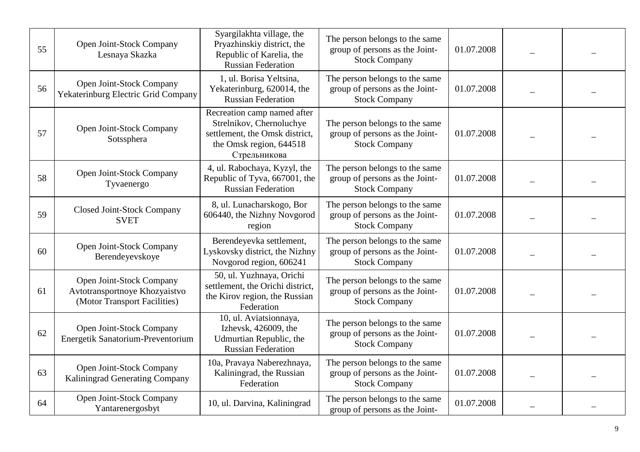| 55 | Open Joint-Stock Company<br>Lesnaya Skazka                                                | Syargilakhta village, the<br>Pryazhinskiy district, the<br>Republic of Karelia, the<br><b>Russian Federation</b>                     | The person belongs to the same<br>group of persons as the Joint-<br><b>Stock Company</b> | 01.07.2008 |  |
|----|-------------------------------------------------------------------------------------------|--------------------------------------------------------------------------------------------------------------------------------------|------------------------------------------------------------------------------------------|------------|--|
| 56 | Open Joint-Stock Company<br>Yekaterinburg Electric Grid Company                           | 1, ul. Borisa Yeltsina,<br>Yekaterinburg, 620014, the<br><b>Russian Federation</b>                                                   | The person belongs to the same<br>group of persons as the Joint-<br><b>Stock Company</b> | 01.07.2008 |  |
| 57 | Open Joint-Stock Company<br>Sotssphera                                                    | Recreation camp named after<br>Strelnikov, Chernoluchye<br>settlement, the Omsk district,<br>the Omsk region, 644518<br>Стрельникова | The person belongs to the same<br>group of persons as the Joint-<br><b>Stock Company</b> | 01.07.2008 |  |
| 58 | Open Joint-Stock Company<br>Tyvaenergo                                                    | 4, ul. Rabochaya, Kyzyl, the<br>Republic of Tyva, 667001, the<br><b>Russian Federation</b>                                           | The person belongs to the same<br>group of persons as the Joint-<br><b>Stock Company</b> | 01.07.2008 |  |
| 59 | <b>Closed Joint-Stock Company</b><br><b>SVET</b>                                          | 8, ul. Lunacharskogo, Bor<br>606440, the Nizhny Novgorod<br>region                                                                   | The person belongs to the same<br>group of persons as the Joint-<br><b>Stock Company</b> | 01.07.2008 |  |
| 60 | Open Joint-Stock Company<br>Berendeyevskoye                                               | Berendeyevka settlement,<br>Lyskovsky district, the Nizhny<br>Novgorod region, 606241                                                | The person belongs to the same<br>group of persons as the Joint-<br><b>Stock Company</b> | 01.07.2008 |  |
| 61 | Open Joint-Stock Company<br>Avtotransportnoye Khozyaistvo<br>(Motor Transport Facilities) | 50, ul. Yuzhnaya, Orichi<br>settlement, the Orichi district,<br>the Kirov region, the Russian<br>Federation                          | The person belongs to the same<br>group of persons as the Joint-<br><b>Stock Company</b> | 01.07.2008 |  |
| 62 | Open Joint-Stock Company<br>Energetik Sanatorium-Preventorium                             | 10, ul. Aviatsionnaya,<br>Izhevsk, 426009, the<br>Udmurtian Republic, the<br><b>Russian Federation</b>                               | The person belongs to the same<br>group of persons as the Joint-<br><b>Stock Company</b> | 01.07.2008 |  |
| 63 | Open Joint-Stock Company<br>Kaliningrad Generating Company                                | 10a, Pravaya Naberezhnaya,<br>Kaliningrad, the Russian<br>Federation                                                                 | The person belongs to the same<br>group of persons as the Joint-<br><b>Stock Company</b> | 01.07.2008 |  |
| 64 | Open Joint-Stock Company<br>Yantarenergosbyt                                              | 10, ul. Darvina, Kaliningrad                                                                                                         | The person belongs to the same<br>group of persons as the Joint-                         | 01.07.2008 |  |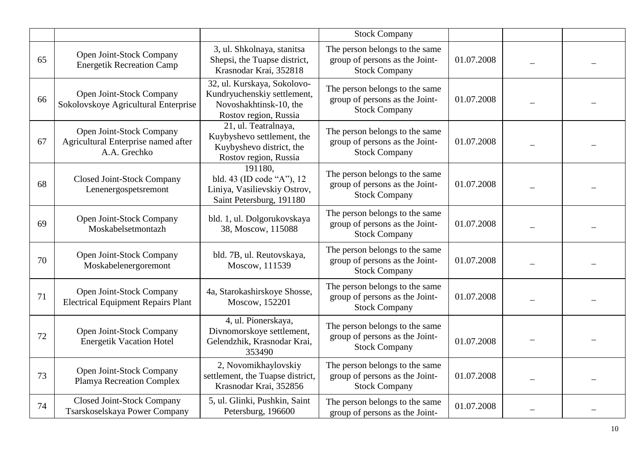|    |                                                                                 |                                                                                                               | <b>Stock Company</b>                                                                     |            |  |
|----|---------------------------------------------------------------------------------|---------------------------------------------------------------------------------------------------------------|------------------------------------------------------------------------------------------|------------|--|
| 65 | Open Joint-Stock Company<br><b>Energetik Recreation Camp</b>                    | 3, ul. Shkolnaya, stanitsa<br>Shepsi, the Tuapse district,<br>Krasnodar Krai, 352818                          | The person belongs to the same<br>group of persons as the Joint-<br><b>Stock Company</b> | 01.07.2008 |  |
| 66 | Open Joint-Stock Company<br>Sokolovskoye Agricultural Enterprise                | 32, ul. Kurskaya, Sokolovo-<br>Kundryuchenskiy settlement,<br>Novoshakhtinsk-10, the<br>Rostov region, Russia | The person belongs to the same<br>group of persons as the Joint-<br><b>Stock Company</b> | 01.07.2008 |  |
| 67 | Open Joint-Stock Company<br>Agricultural Enterprise named after<br>A.A. Grechko | 21, ul. Teatralnaya,<br>Kuybyshevo settlement, the<br>Kuybyshevo district, the<br>Rostov region, Russia       | The person belongs to the same<br>group of persons as the Joint-<br><b>Stock Company</b> | 01.07.2008 |  |
| 68 | Closed Joint-Stock Company<br>Lenenergospetsremont                              | 191180,<br>bld. 43 (ID code "A"), 12<br>Liniya, Vasilievskiy Ostrov,<br>Saint Petersburg, 191180              | The person belongs to the same<br>group of persons as the Joint-<br><b>Stock Company</b> | 01.07.2008 |  |
| 69 | Open Joint-Stock Company<br>Moskabelsetmontazh                                  | bld. 1, ul. Dolgorukovskaya<br>38, Moscow, 115088                                                             | The person belongs to the same<br>group of persons as the Joint-<br><b>Stock Company</b> | 01.07.2008 |  |
| 70 | Open Joint-Stock Company<br>Moskabelenergoremont                                | bld. 7B, ul. Reutovskaya,<br>Moscow, 111539                                                                   | The person belongs to the same<br>group of persons as the Joint-<br><b>Stock Company</b> | 01.07.2008 |  |
| 71 | Open Joint-Stock Company<br><b>Electrical Equipment Repairs Plant</b>           | 4a, Starokashirskoye Shosse,<br>Moscow, 152201                                                                | The person belongs to the same<br>group of persons as the Joint-<br><b>Stock Company</b> | 01.07.2008 |  |
| 72 | Open Joint-Stock Company<br><b>Energetik Vacation Hotel</b>                     | 4, ul. Pionerskaya,<br>Divnomorskoye settlement,<br>Gelendzhik, Krasnodar Krai,<br>353490                     | The person belongs to the same<br>group of persons as the Joint-<br><b>Stock Company</b> | 01.07.2008 |  |
| 73 | Open Joint-Stock Company<br><b>Plamya Recreation Complex</b>                    | 2, Novomikhaylovskiy<br>settlement, the Tuapse district,<br>Krasnodar Krai, 352856                            | The person belongs to the same<br>group of persons as the Joint-<br><b>Stock Company</b> | 01.07.2008 |  |
| 74 | <b>Closed Joint-Stock Company</b><br>Tsarskoselskaya Power Company              | 5, ul. Glinki, Pushkin, Saint<br>Petersburg, 196600                                                           | The person belongs to the same<br>group of persons as the Joint-                         | 01.07.2008 |  |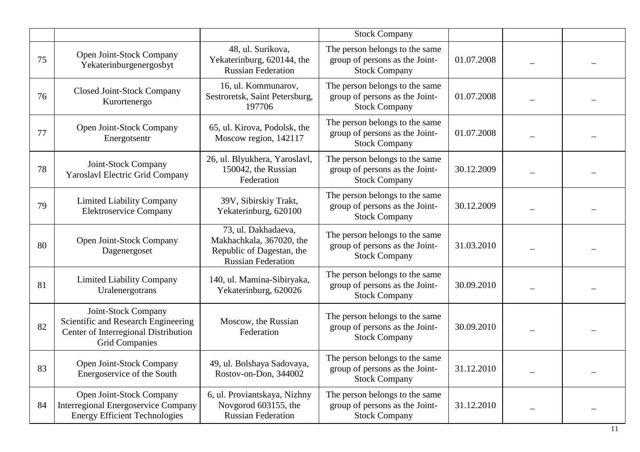|    |                                                                                                                             |                                                                                                           | <b>Stock Company</b>                                                                     |            |  |
|----|-----------------------------------------------------------------------------------------------------------------------------|-----------------------------------------------------------------------------------------------------------|------------------------------------------------------------------------------------------|------------|--|
| 75 | Open Joint-Stock Company<br>Yekaterinburgenergosbyt                                                                         | 48, ul. Surikova,<br>Yekaterinburg, 620144, the<br><b>Russian Federation</b>                              | The person belongs to the same<br>group of persons as the Joint-<br><b>Stock Company</b> | 01.07.2008 |  |
| 76 | <b>Closed Joint-Stock Company</b><br>Kurortenergo                                                                           | 16, ul. Kommunarov,<br>Sestroretsk, Saint Petersburg,<br>197706                                           | The person belongs to the same<br>group of persons as the Joint-<br><b>Stock Company</b> | 01.07.2008 |  |
| 77 | Open Joint-Stock Company<br>Energotsentr                                                                                    | 65, ul. Kirova, Podolsk, the<br>Moscow region, 142117                                                     | The person belongs to the same<br>group of persons as the Joint-<br><b>Stock Company</b> | 01.07.2008 |  |
| 78 | Joint-Stock Company<br><b>Yaroslavl Electric Grid Company</b>                                                               | 26, ul. Blyukhera, Yaroslavl,<br>150042, the Russian<br>Federation                                        | The person belongs to the same<br>group of persons as the Joint-<br><b>Stock Company</b> | 30.12.2009 |  |
| 79 | <b>Limited Liability Company</b><br><b>Elektroservice Company</b>                                                           | 39V, Sibirskiy Trakt,<br>Yekaterinburg, 620100                                                            | The person belongs to the same<br>group of persons as the Joint-<br><b>Stock Company</b> | 30.12.2009 |  |
| 80 | Open Joint-Stock Company<br>Dagenergoset                                                                                    | 73, ul. Dakhadaeva,<br>Makhachkala, 367020, the<br>Republic of Dagestan, the<br><b>Russian Federation</b> | The person belongs to the same<br>group of persons as the Joint-<br><b>Stock Company</b> | 31.03.2010 |  |
| 81 | <b>Limited Liability Company</b><br>Uralenergotrans                                                                         | 140, ul. Mamina-Sibiryaka,<br>Yekaterinburg, 620026                                                       | The person belongs to the same<br>group of persons as the Joint-<br><b>Stock Company</b> | 30.09.2010 |  |
| 82 | Joint-Stock Company<br>Scientific and Research Engineering<br>Center of Interregional Distribution<br><b>Grid Companies</b> | Moscow, the Russian<br>Federation                                                                         | The person belongs to the same<br>group of persons as the Joint-<br><b>Stock Company</b> | 30.09.2010 |  |
| 83 | Open Joint-Stock Company<br>Energoservice of the South                                                                      | 49, ul. Bolshaya Sadovaya,<br>Rostov-on-Don, 344002                                                       | The person belongs to the same<br>group of persons as the Joint-<br><b>Stock Company</b> | 31.12.2010 |  |
| 84 | Open Joint-Stock Company<br><b>Interregional Energoservice Company</b><br><b>Energy Efficient Technologies</b>              | 6, ul. Proviantskaya, Nizhny<br>Novgorod 603155, the<br><b>Russian Federation</b>                         | The person belongs to the same<br>group of persons as the Joint-<br><b>Stock Company</b> | 31.12.2010 |  |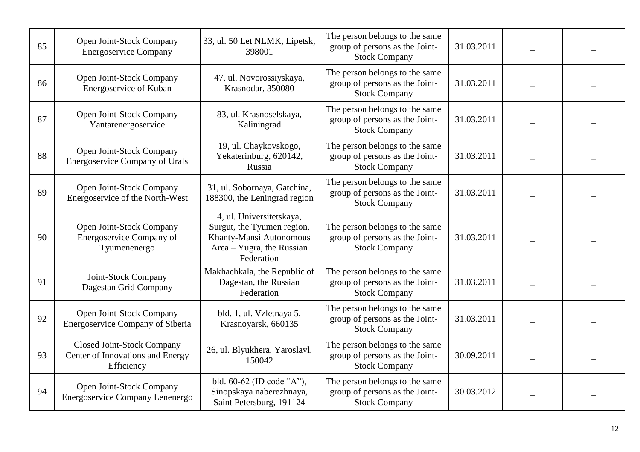| 85 | Open Joint-Stock Company<br><b>Energoservice Company</b>                            | 33, ul. 50 Let NLMK, Lipetsk,<br>398001                                                                                      | The person belongs to the same<br>group of persons as the Joint-<br><b>Stock Company</b> | 31.03.2011 |  |
|----|-------------------------------------------------------------------------------------|------------------------------------------------------------------------------------------------------------------------------|------------------------------------------------------------------------------------------|------------|--|
| 86 | Open Joint-Stock Company<br>Energoservice of Kuban                                  | 47, ul. Novorossiyskaya,<br>Krasnodar, 350080                                                                                | The person belongs to the same<br>group of persons as the Joint-<br><b>Stock Company</b> | 31.03.2011 |  |
| 87 | Open Joint-Stock Company<br>Yantarenergoservice                                     | 83, ul. Krasnoselskaya,<br>Kaliningrad                                                                                       | The person belongs to the same<br>group of persons as the Joint-<br><b>Stock Company</b> | 31.03.2011 |  |
| 88 | Open Joint-Stock Company<br><b>Energoservice Company of Urals</b>                   | 19, ul. Chaykovskogo,<br>Yekaterinburg, 620142,<br>Russia                                                                    | The person belongs to the same<br>group of persons as the Joint-<br><b>Stock Company</b> | 31.03.2011 |  |
| 89 | Open Joint-Stock Company<br>Energoservice of the North-West                         | 31, ul. Sobornaya, Gatchina,<br>188300, the Leningrad region                                                                 | The person belongs to the same<br>group of persons as the Joint-<br><b>Stock Company</b> | 31.03.2011 |  |
| 90 | Open Joint-Stock Company<br>Energoservice Company of<br>Tyumenenergo                | 4, ul. Universitetskaya,<br>Surgut, the Tyumen region,<br>Khanty-Mansi Autonomous<br>Area - Yugra, the Russian<br>Federation | The person belongs to the same<br>group of persons as the Joint-<br><b>Stock Company</b> | 31.03.2011 |  |
| 91 | Joint-Stock Company<br>Dagestan Grid Company                                        | Makhachkala, the Republic of<br>Dagestan, the Russian<br>Federation                                                          | The person belongs to the same<br>group of persons as the Joint-<br><b>Stock Company</b> | 31.03.2011 |  |
| 92 | Open Joint-Stock Company<br>Energoservice Company of Siberia                        | bld. 1, ul. Vzletnaya 5,<br>Krasnoyarsk, 660135                                                                              | The person belongs to the same<br>group of persons as the Joint-<br><b>Stock Company</b> | 31.03.2011 |  |
| 93 | <b>Closed Joint-Stock Company</b><br>Center of Innovations and Energy<br>Efficiency | 26, ul. Blyukhera, Yaroslavl,<br>150042                                                                                      | The person belongs to the same<br>group of persons as the Joint-<br><b>Stock Company</b> | 30.09.2011 |  |
| 94 | Open Joint-Stock Company<br><b>Energoservice Company Lenenergo</b>                  | bld. 60-62 (ID code "A"),<br>Sinopskaya naberezhnaya,<br>Saint Petersburg, 191124                                            | The person belongs to the same<br>group of persons as the Joint-<br><b>Stock Company</b> | 30.03.2012 |  |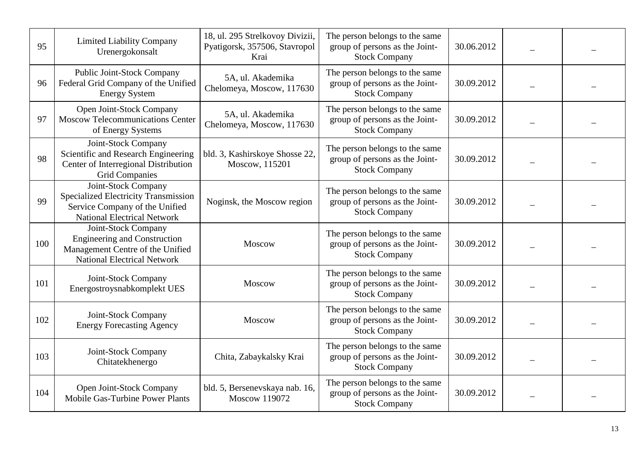| 95  | <b>Limited Liability Company</b><br>Urenergokonsalt                                                                                  | 18, ul. 295 Strelkovoy Divizii,<br>Pyatigorsk, 357506, Stavropol<br>Krai | The person belongs to the same<br>group of persons as the Joint-<br><b>Stock Company</b> | 30.06.2012 |  |
|-----|--------------------------------------------------------------------------------------------------------------------------------------|--------------------------------------------------------------------------|------------------------------------------------------------------------------------------|------------|--|
| 96  | Public Joint-Stock Company<br>Federal Grid Company of the Unified<br><b>Energy System</b>                                            | 5A, ul. Akademika<br>Chelomeya, Moscow, 117630                           | The person belongs to the same<br>group of persons as the Joint-<br><b>Stock Company</b> | 30.09.2012 |  |
| 97  | Open Joint-Stock Company<br><b>Moscow Telecommunications Center</b><br>of Energy Systems                                             | 5A, ul. Akademika<br>Chelomeya, Moscow, 117630                           | The person belongs to the same<br>group of persons as the Joint-<br><b>Stock Company</b> | 30.09.2012 |  |
| 98  | Joint-Stock Company<br>Scientific and Research Engineering<br>Center of Interregional Distribution<br><b>Grid Companies</b>          | bld. 3, Kashirskoye Shosse 22,<br>Moscow, 115201                         | The person belongs to the same<br>group of persons as the Joint-<br><b>Stock Company</b> | 30.09.2012 |  |
| 99  | Joint-Stock Company<br>Specialized Electricity Transmission<br>Service Company of the Unified<br><b>National Electrical Network</b>  | Noginsk, the Moscow region                                               | The person belongs to the same<br>group of persons as the Joint-<br><b>Stock Company</b> | 30.09.2012 |  |
| 100 | Joint-Stock Company<br><b>Engineering and Construction</b><br>Management Centre of the Unified<br><b>National Electrical Network</b> | Moscow                                                                   | The person belongs to the same<br>group of persons as the Joint-<br><b>Stock Company</b> | 30.09.2012 |  |
| 101 | Joint-Stock Company<br>Energostroysnabkomplekt UES                                                                                   | Moscow                                                                   | The person belongs to the same<br>group of persons as the Joint-<br><b>Stock Company</b> | 30.09.2012 |  |
| 102 | Joint-Stock Company<br><b>Energy Forecasting Agency</b>                                                                              | Moscow                                                                   | The person belongs to the same<br>group of persons as the Joint-<br><b>Stock Company</b> | 30.09.2012 |  |
| 103 | Joint-Stock Company<br>Chitatekhenergo                                                                                               | Chita, Zabaykalsky Krai                                                  | The person belongs to the same<br>group of persons as the Joint-<br><b>Stock Company</b> | 30.09.2012 |  |
| 104 | Open Joint-Stock Company<br><b>Mobile Gas-Turbine Power Plants</b>                                                                   | bld. 5, Bersenevskaya nab. 16,<br>Moscow 119072                          | The person belongs to the same<br>group of persons as the Joint-<br><b>Stock Company</b> | 30.09.2012 |  |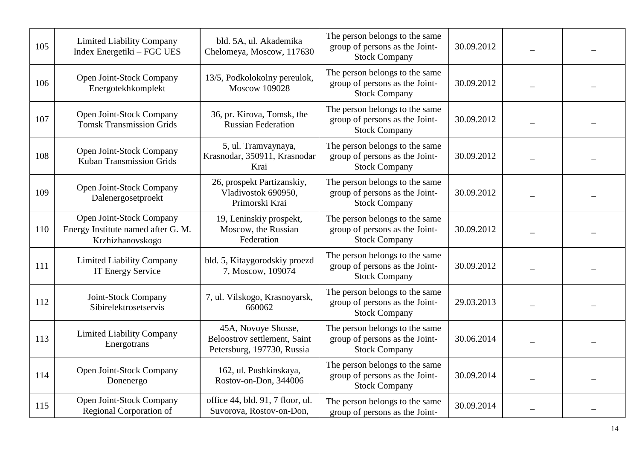| 105 | <b>Limited Liability Company</b><br>Index Energetiki – FGC UES                     | bld. 5A, ul. Akademika<br>Chelomeya, Moscow, 117630                               | The person belongs to the same<br>group of persons as the Joint-<br><b>Stock Company</b> | 30.09.2012 |  |
|-----|------------------------------------------------------------------------------------|-----------------------------------------------------------------------------------|------------------------------------------------------------------------------------------|------------|--|
| 106 | Open Joint-Stock Company<br>Energotekhkomplekt                                     | 13/5, Podkolokolny pereulok,<br><b>Moscow 109028</b>                              | The person belongs to the same<br>group of persons as the Joint-<br><b>Stock Company</b> | 30.09.2012 |  |
| 107 | Open Joint-Stock Company<br><b>Tomsk Transmission Grids</b>                        | 36, pr. Kirova, Tomsk, the<br><b>Russian Federation</b>                           | The person belongs to the same<br>group of persons as the Joint-<br><b>Stock Company</b> | 30.09.2012 |  |
| 108 | Open Joint-Stock Company<br><b>Kuban Transmission Grids</b>                        | 5, ul. Tramvaynaya,<br>Krasnodar, 350911, Krasnodar<br>Krai                       | The person belongs to the same<br>group of persons as the Joint-<br><b>Stock Company</b> | 30.09.2012 |  |
| 109 | Open Joint-Stock Company<br>Dalenergosetproekt                                     | 26, prospekt Partizanskiy,<br>Vladivostok 690950,<br>Primorski Krai               | The person belongs to the same<br>group of persons as the Joint-<br><b>Stock Company</b> | 30.09.2012 |  |
| 110 | Open Joint-Stock Company<br>Energy Institute named after G. M.<br>Krzhizhanovskogo | 19, Leninskiy prospekt,<br>Moscow, the Russian<br>Federation                      | The person belongs to the same<br>group of persons as the Joint-<br><b>Stock Company</b> | 30.09.2012 |  |
| 111 | <b>Limited Liability Company</b><br>IT Energy Service                              | bld. 5, Kitaygorodskiy proezd<br>7, Moscow, 109074                                | The person belongs to the same<br>group of persons as the Joint-<br><b>Stock Company</b> | 30.09.2012 |  |
| 112 | Joint-Stock Company<br>Sibirelektrosetservis                                       | 7, ul. Vilskogo, Krasnoyarsk,<br>660062                                           | The person belongs to the same<br>group of persons as the Joint-<br><b>Stock Company</b> | 29.03.2013 |  |
| 113 | <b>Limited Liability Company</b><br>Energotrans                                    | 45A, Novoye Shosse,<br>Beloostrov settlement, Saint<br>Petersburg, 197730, Russia | The person belongs to the same<br>group of persons as the Joint-<br><b>Stock Company</b> | 30.06.2014 |  |
| 114 | Open Joint-Stock Company<br>Donenergo                                              | 162, ul. Pushkinskaya,<br>Rostov-on-Don, 344006                                   | The person belongs to the same<br>group of persons as the Joint-<br><b>Stock Company</b> | 30.09.2014 |  |
| 115 | Open Joint-Stock Company<br>Regional Corporation of                                | office 44, bld. 91, 7 floor, ul.<br>Suvorova, Rostov-on-Don,                      | The person belongs to the same<br>group of persons as the Joint-                         | 30.09.2014 |  |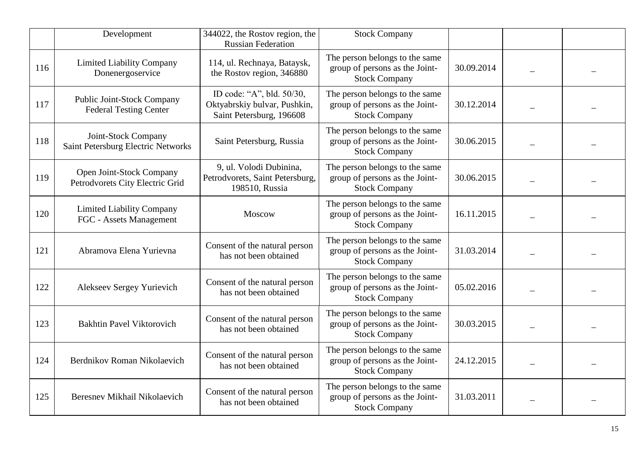|     | Development                                                 | 344022, the Rostov region, the<br><b>Russian Federation</b>                           | <b>Stock Company</b>                                                                     |            |  |
|-----|-------------------------------------------------------------|---------------------------------------------------------------------------------------|------------------------------------------------------------------------------------------|------------|--|
| 116 | <b>Limited Liability Company</b><br>Donenergoservice        | 114, ul. Rechnaya, Bataysk,<br>the Rostov region, 346880                              | The person belongs to the same<br>group of persons as the Joint-<br><b>Stock Company</b> | 30.09.2014 |  |
| 117 | Public Joint-Stock Company<br><b>Federal Testing Center</b> | ID code: "A", bld. 50/30,<br>Oktyabrskiy bulvar, Pushkin,<br>Saint Petersburg, 196608 | The person belongs to the same<br>group of persons as the Joint-<br><b>Stock Company</b> | 30.12.2014 |  |
| 118 | Joint-Stock Company<br>Saint Petersburg Electric Networks   | Saint Petersburg, Russia                                                              | The person belongs to the same<br>group of persons as the Joint-<br><b>Stock Company</b> | 30.06.2015 |  |
| 119 | Open Joint-Stock Company<br>Petrodvorets City Electric Grid | 9, ul. Volodi Dubinina,<br>Petrodvorets, Saint Petersburg,<br>198510, Russia          | The person belongs to the same<br>group of persons as the Joint-<br><b>Stock Company</b> | 30.06.2015 |  |
| 120 | <b>Limited Liability Company</b><br>FGC - Assets Management | Moscow                                                                                | The person belongs to the same<br>group of persons as the Joint-<br><b>Stock Company</b> | 16.11.2015 |  |
| 121 | Abramova Elena Yurievna                                     | Consent of the natural person<br>has not been obtained                                | The person belongs to the same<br>group of persons as the Joint-<br><b>Stock Company</b> | 31.03.2014 |  |
| 122 | Alekseev Sergey Yurievich                                   | Consent of the natural person<br>has not been obtained                                | The person belongs to the same<br>group of persons as the Joint-<br><b>Stock Company</b> | 05.02.2016 |  |
| 123 | <b>Bakhtin Pavel Viktorovich</b>                            | Consent of the natural person<br>has not been obtained                                | The person belongs to the same<br>group of persons as the Joint-<br><b>Stock Company</b> | 30.03.2015 |  |
| 124 | Berdnikov Roman Nikolaevich                                 | Consent of the natural person<br>has not been obtained                                | The person belongs to the same<br>group of persons as the Joint-<br><b>Stock Company</b> | 24.12.2015 |  |
| 125 | Beresnev Mikhail Nikolaevich                                | Consent of the natural person<br>has not been obtained                                | The person belongs to the same<br>group of persons as the Joint-<br><b>Stock Company</b> | 31.03.2011 |  |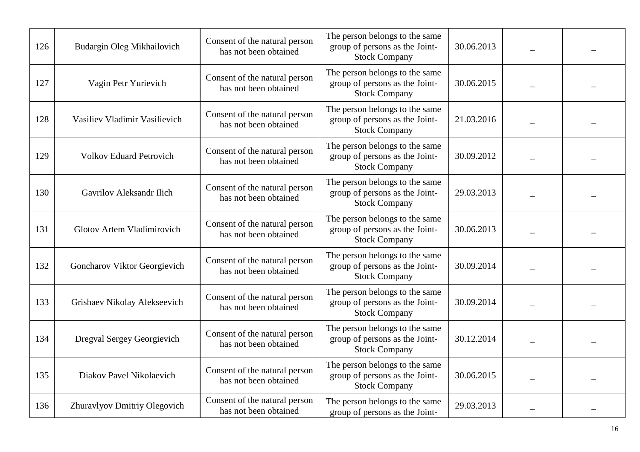| 126 | Budargin Oleg Mikhailovich      | Consent of the natural person<br>has not been obtained | The person belongs to the same<br>group of persons as the Joint-<br><b>Stock Company</b> | 30.06.2013 |  |
|-----|---------------------------------|--------------------------------------------------------|------------------------------------------------------------------------------------------|------------|--|
| 127 | Vagin Petr Yurievich            | Consent of the natural person<br>has not been obtained | The person belongs to the same<br>group of persons as the Joint-<br><b>Stock Company</b> | 30.06.2015 |  |
| 128 | Vasiliev Vladimir Vasilievich   | Consent of the natural person<br>has not been obtained | The person belongs to the same<br>group of persons as the Joint-<br><b>Stock Company</b> | 21.03.2016 |  |
| 129 | <b>Volkov Eduard Petrovich</b>  | Consent of the natural person<br>has not been obtained | The person belongs to the same<br>group of persons as the Joint-<br><b>Stock Company</b> | 30.09.2012 |  |
| 130 | <b>Gavrilov Aleksandr Ilich</b> | Consent of the natural person<br>has not been obtained | The person belongs to the same<br>group of persons as the Joint-<br><b>Stock Company</b> | 29.03.2013 |  |
| 131 | Glotov Artem Vladimirovich      | Consent of the natural person<br>has not been obtained | The person belongs to the same<br>group of persons as the Joint-<br><b>Stock Company</b> | 30.06.2013 |  |
| 132 | Goncharov Viktor Georgievich    | Consent of the natural person<br>has not been obtained | The person belongs to the same<br>group of persons as the Joint-<br><b>Stock Company</b> | 30.09.2014 |  |
| 133 | Grishaev Nikolay Alekseevich    | Consent of the natural person<br>has not been obtained | The person belongs to the same<br>group of persons as the Joint-<br><b>Stock Company</b> | 30.09.2014 |  |
| 134 | Dregval Sergey Georgievich      | Consent of the natural person<br>has not been obtained | The person belongs to the same<br>group of persons as the Joint-<br><b>Stock Company</b> | 30.12.2014 |  |
| 135 | Diakov Pavel Nikolaevich        | Consent of the natural person<br>has not been obtained | The person belongs to the same<br>group of persons as the Joint-<br><b>Stock Company</b> | 30.06.2015 |  |
| 136 | Zhuravlyov Dmitriy Olegovich    | Consent of the natural person<br>has not been obtained | The person belongs to the same<br>group of persons as the Joint-                         | 29.03.2013 |  |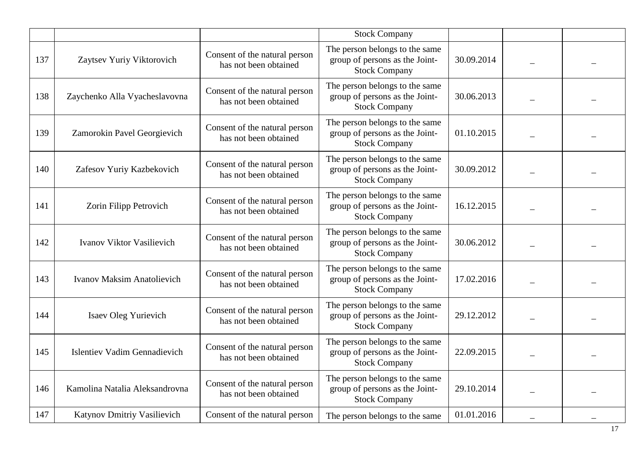|     |                                     |                                                        | <b>Stock Company</b>                                                                     |            |  |
|-----|-------------------------------------|--------------------------------------------------------|------------------------------------------------------------------------------------------|------------|--|
| 137 | Zaytsev Yuriy Viktorovich           | Consent of the natural person<br>has not been obtained | The person belongs to the same<br>group of persons as the Joint-<br><b>Stock Company</b> | 30.09.2014 |  |
| 138 | Zaychenko Alla Vyacheslavovna       | Consent of the natural person<br>has not been obtained | The person belongs to the same<br>group of persons as the Joint-<br><b>Stock Company</b> | 30.06.2013 |  |
| 139 | Zamorokin Pavel Georgievich         | Consent of the natural person<br>has not been obtained | The person belongs to the same<br>group of persons as the Joint-<br><b>Stock Company</b> | 01.10.2015 |  |
| 140 | Zafesov Yuriy Kazbekovich           | Consent of the natural person<br>has not been obtained | The person belongs to the same<br>group of persons as the Joint-<br><b>Stock Company</b> | 30.09.2012 |  |
| 141 | Zorin Filipp Petrovich              | Consent of the natural person<br>has not been obtained | The person belongs to the same<br>group of persons as the Joint-<br><b>Stock Company</b> | 16.12.2015 |  |
| 142 | Ivanov Viktor Vasilievich           | Consent of the natural person<br>has not been obtained | The person belongs to the same<br>group of persons as the Joint-<br><b>Stock Company</b> | 30.06.2012 |  |
| 143 | <b>Ivanov Maksim Anatolievich</b>   | Consent of the natural person<br>has not been obtained | The person belongs to the same<br>group of persons as the Joint-<br><b>Stock Company</b> | 17.02.2016 |  |
| 144 | <b>Isaev Oleg Yurievich</b>         | Consent of the natural person<br>has not been obtained | The person belongs to the same<br>group of persons as the Joint-<br><b>Stock Company</b> | 29.12.2012 |  |
| 145 | <b>Islentiev Vadim Gennadievich</b> | Consent of the natural person<br>has not been obtained | The person belongs to the same<br>group of persons as the Joint-<br><b>Stock Company</b> | 22.09.2015 |  |
| 146 | Kamolina Natalia Aleksandrovna      | Consent of the natural person<br>has not been obtained | The person belongs to the same<br>group of persons as the Joint-<br><b>Stock Company</b> | 29.10.2014 |  |
| 147 | Katynov Dmitriy Vasilievich         | Consent of the natural person                          | The person belongs to the same                                                           | 01.01.2016 |  |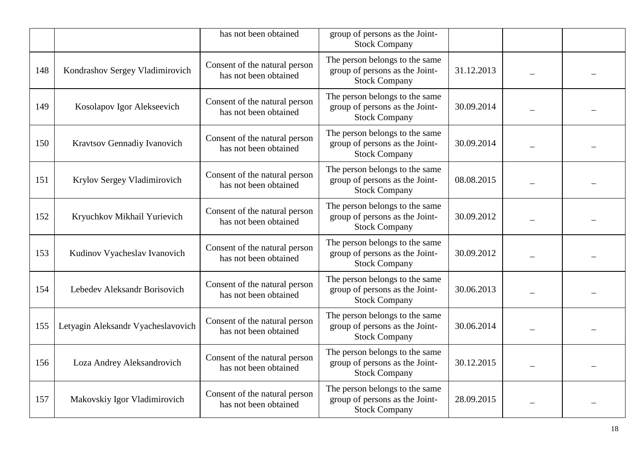|     |                                    | has not been obtained                                  | group of persons as the Joint-<br><b>Stock Company</b>                                   |            |  |
|-----|------------------------------------|--------------------------------------------------------|------------------------------------------------------------------------------------------|------------|--|
| 148 | Kondrashov Sergey Vladimirovich    | Consent of the natural person<br>has not been obtained | The person belongs to the same<br>group of persons as the Joint-<br><b>Stock Company</b> | 31.12.2013 |  |
| 149 | Kosolapov Igor Alekseevich         | Consent of the natural person<br>has not been obtained | The person belongs to the same<br>group of persons as the Joint-<br><b>Stock Company</b> | 30.09.2014 |  |
| 150 | Kravtsov Gennadiy Ivanovich        | Consent of the natural person<br>has not been obtained | The person belongs to the same<br>group of persons as the Joint-<br><b>Stock Company</b> | 30.09.2014 |  |
| 151 | Krylov Sergey Vladimirovich        | Consent of the natural person<br>has not been obtained | The person belongs to the same<br>group of persons as the Joint-<br><b>Stock Company</b> | 08.08.2015 |  |
| 152 | Kryuchkov Mikhail Yurievich        | Consent of the natural person<br>has not been obtained | The person belongs to the same<br>group of persons as the Joint-<br><b>Stock Company</b> | 30.09.2012 |  |
| 153 | Kudinov Vyacheslav Ivanovich       | Consent of the natural person<br>has not been obtained | The person belongs to the same<br>group of persons as the Joint-<br><b>Stock Company</b> | 30.09.2012 |  |
| 154 | Lebedev Aleksandr Borisovich       | Consent of the natural person<br>has not been obtained | The person belongs to the same<br>group of persons as the Joint-<br><b>Stock Company</b> | 30.06.2013 |  |
| 155 | Letyagin Aleksandr Vyacheslavovich | Consent of the natural person<br>has not been obtained | The person belongs to the same<br>group of persons as the Joint-<br><b>Stock Company</b> | 30.06.2014 |  |
| 156 | Loza Andrey Aleksandrovich         | Consent of the natural person<br>has not been obtained | The person belongs to the same<br>group of persons as the Joint-<br><b>Stock Company</b> | 30.12.2015 |  |
| 157 | Makovskiy Igor Vladimirovich       | Consent of the natural person<br>has not been obtained | The person belongs to the same<br>group of persons as the Joint-<br><b>Stock Company</b> | 28.09.2015 |  |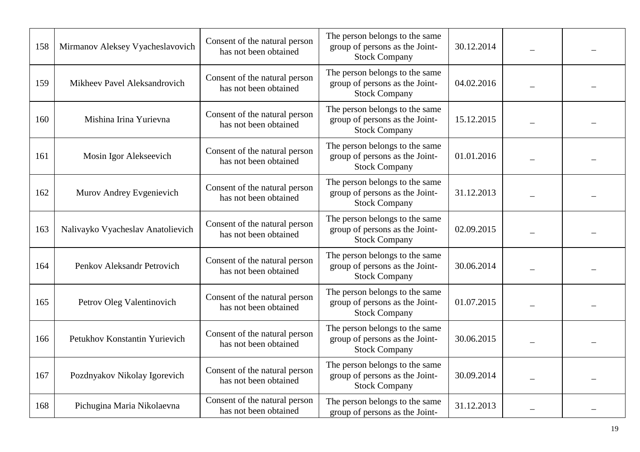| 158 | Mirmanov Aleksey Vyacheslavovich  | Consent of the natural person<br>has not been obtained | The person belongs to the same<br>group of persons as the Joint-<br><b>Stock Company</b> | 30.12.2014 |  |
|-----|-----------------------------------|--------------------------------------------------------|------------------------------------------------------------------------------------------|------------|--|
| 159 | Mikheev Pavel Aleksandrovich      | Consent of the natural person<br>has not been obtained | The person belongs to the same<br>group of persons as the Joint-<br><b>Stock Company</b> | 04.02.2016 |  |
| 160 | Mishina Irina Yurievna            | Consent of the natural person<br>has not been obtained | The person belongs to the same<br>group of persons as the Joint-<br><b>Stock Company</b> | 15.12.2015 |  |
| 161 | Mosin Igor Alekseevich            | Consent of the natural person<br>has not been obtained | The person belongs to the same<br>group of persons as the Joint-<br><b>Stock Company</b> | 01.01.2016 |  |
| 162 | Murov Andrey Evgenievich          | Consent of the natural person<br>has not been obtained | The person belongs to the same<br>group of persons as the Joint-<br><b>Stock Company</b> | 31.12.2013 |  |
| 163 | Nalivayko Vyacheslav Anatolievich | Consent of the natural person<br>has not been obtained | The person belongs to the same<br>group of persons as the Joint-<br><b>Stock Company</b> | 02.09.2015 |  |
| 164 | Penkov Aleksandr Petrovich        | Consent of the natural person<br>has not been obtained | The person belongs to the same<br>group of persons as the Joint-<br><b>Stock Company</b> | 30.06.2014 |  |
| 165 | Petrov Oleg Valentinovich         | Consent of the natural person<br>has not been obtained | The person belongs to the same<br>group of persons as the Joint-<br><b>Stock Company</b> | 01.07.2015 |  |
| 166 | Petukhov Konstantin Yurievich     | Consent of the natural person<br>has not been obtained | The person belongs to the same<br>group of persons as the Joint-<br><b>Stock Company</b> | 30.06.2015 |  |
| 167 | Pozdnyakov Nikolay Igorevich      | Consent of the natural person<br>has not been obtained | The person belongs to the same<br>group of persons as the Joint-<br><b>Stock Company</b> | 30.09.2014 |  |
| 168 | Pichugina Maria Nikolaevna        | Consent of the natural person<br>has not been obtained | The person belongs to the same<br>group of persons as the Joint-                         | 31.12.2013 |  |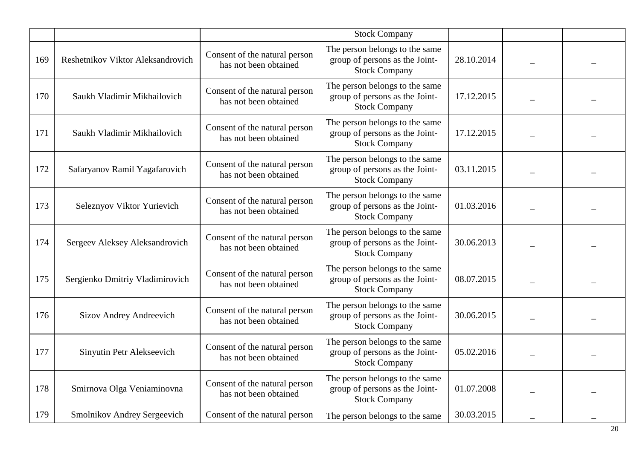|     |                                   |                                                        | <b>Stock Company</b>                                                                     |            |  |
|-----|-----------------------------------|--------------------------------------------------------|------------------------------------------------------------------------------------------|------------|--|
| 169 | Reshetnikov Viktor Aleksandrovich | Consent of the natural person<br>has not been obtained | The person belongs to the same<br>group of persons as the Joint-<br><b>Stock Company</b> | 28.10.2014 |  |
| 170 | Saukh Vladimir Mikhailovich       | Consent of the natural person<br>has not been obtained | The person belongs to the same<br>group of persons as the Joint-<br><b>Stock Company</b> | 17.12.2015 |  |
| 171 | Saukh Vladimir Mikhailovich       | Consent of the natural person<br>has not been obtained | The person belongs to the same<br>group of persons as the Joint-<br><b>Stock Company</b> | 17.12.2015 |  |
| 172 | Safaryanov Ramil Yagafarovich     | Consent of the natural person<br>has not been obtained | The person belongs to the same<br>group of persons as the Joint-<br><b>Stock Company</b> | 03.11.2015 |  |
| 173 | Seleznyov Viktor Yurievich        | Consent of the natural person<br>has not been obtained | The person belongs to the same<br>group of persons as the Joint-<br><b>Stock Company</b> | 01.03.2016 |  |
| 174 | Sergeev Aleksey Aleksandrovich    | Consent of the natural person<br>has not been obtained | The person belongs to the same<br>group of persons as the Joint-<br><b>Stock Company</b> | 30.06.2013 |  |
| 175 | Sergienko Dmitriy Vladimirovich   | Consent of the natural person<br>has not been obtained | The person belongs to the same<br>group of persons as the Joint-<br><b>Stock Company</b> | 08.07.2015 |  |
| 176 | <b>Sizov Andrey Andreevich</b>    | Consent of the natural person<br>has not been obtained | The person belongs to the same<br>group of persons as the Joint-<br><b>Stock Company</b> | 30.06.2015 |  |
| 177 | Sinyutin Petr Alekseevich         | Consent of the natural person<br>has not been obtained | The person belongs to the same<br>group of persons as the Joint-<br><b>Stock Company</b> | 05.02.2016 |  |
| 178 | Smirnova Olga Veniaminovna        | Consent of the natural person<br>has not been obtained | The person belongs to the same<br>group of persons as the Joint-<br><b>Stock Company</b> | 01.07.2008 |  |
| 179 | Smolnikov Andrey Sergeevich       | Consent of the natural person                          | The person belongs to the same                                                           | 30.03.2015 |  |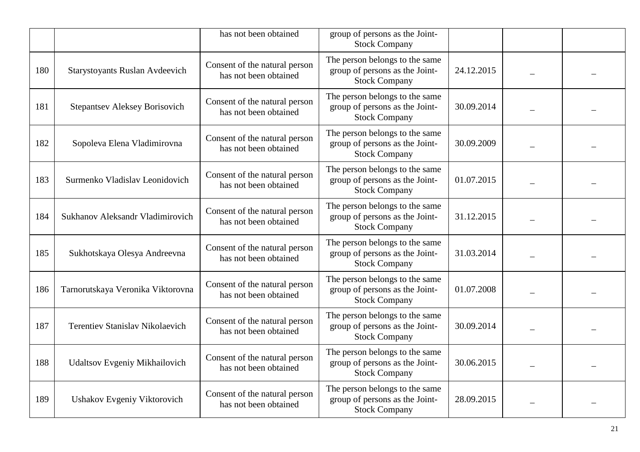|     |                                        | has not been obtained                                  | group of persons as the Joint-<br><b>Stock Company</b>                                   |            |  |
|-----|----------------------------------------|--------------------------------------------------------|------------------------------------------------------------------------------------------|------------|--|
| 180 | <b>Starystoyants Ruslan Avdeevich</b>  | Consent of the natural person<br>has not been obtained | The person belongs to the same<br>group of persons as the Joint-<br><b>Stock Company</b> | 24.12.2015 |  |
| 181 | <b>Stepantsev Aleksey Borisovich</b>   | Consent of the natural person<br>has not been obtained | The person belongs to the same<br>group of persons as the Joint-<br><b>Stock Company</b> | 30.09.2014 |  |
| 182 | Sopoleva Elena Vladimirovna            | Consent of the natural person<br>has not been obtained | The person belongs to the same<br>group of persons as the Joint-<br><b>Stock Company</b> | 30.09.2009 |  |
| 183 | Surmenko Vladislav Leonidovich         | Consent of the natural person<br>has not been obtained | The person belongs to the same<br>group of persons as the Joint-<br><b>Stock Company</b> | 01.07.2015 |  |
| 184 | Sukhanov Aleksandr Vladimirovich       | Consent of the natural person<br>has not been obtained | The person belongs to the same<br>group of persons as the Joint-<br><b>Stock Company</b> | 31.12.2015 |  |
| 185 | Sukhotskaya Olesya Andreevna           | Consent of the natural person<br>has not been obtained | The person belongs to the same<br>group of persons as the Joint-<br><b>Stock Company</b> | 31.03.2014 |  |
| 186 | Tarnorutskaya Veronika Viktorovna      | Consent of the natural person<br>has not been obtained | The person belongs to the same<br>group of persons as the Joint-<br><b>Stock Company</b> | 01.07.2008 |  |
| 187 | <b>Terentiev Stanislav Nikolaevich</b> | Consent of the natural person<br>has not been obtained | The person belongs to the same<br>group of persons as the Joint-<br><b>Stock Company</b> | 30.09.2014 |  |
| 188 | Udaltsov Evgeniy Mikhailovich          | Consent of the natural person<br>has not been obtained | The person belongs to the same<br>group of persons as the Joint-<br><b>Stock Company</b> | 30.06.2015 |  |
| 189 | Ushakov Evgeniy Viktorovich            | Consent of the natural person<br>has not been obtained | The person belongs to the same<br>group of persons as the Joint-<br><b>Stock Company</b> | 28.09.2015 |  |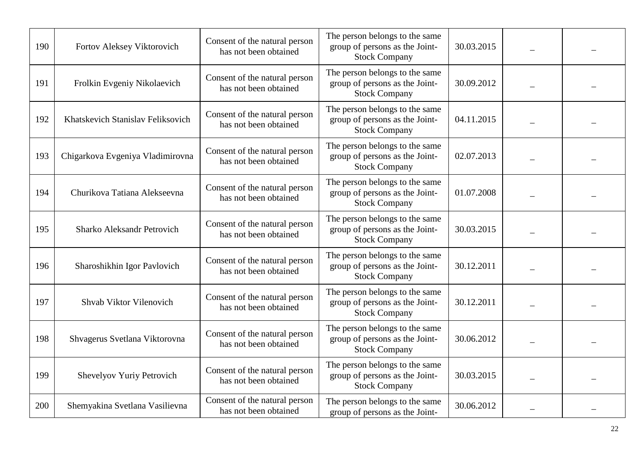| 190 | Fortov Aleksey Viktorovich        | Consent of the natural person<br>has not been obtained | The person belongs to the same<br>group of persons as the Joint-<br><b>Stock Company</b> | 30.03.2015 |  |
|-----|-----------------------------------|--------------------------------------------------------|------------------------------------------------------------------------------------------|------------|--|
| 191 | Frolkin Evgeniy Nikolaevich       | Consent of the natural person<br>has not been obtained | The person belongs to the same<br>group of persons as the Joint-<br><b>Stock Company</b> | 30.09.2012 |  |
| 192 | Khatskevich Stanislav Feliksovich | Consent of the natural person<br>has not been obtained | The person belongs to the same<br>group of persons as the Joint-<br><b>Stock Company</b> | 04.11.2015 |  |
| 193 | Chigarkova Evgeniya Vladimirovna  | Consent of the natural person<br>has not been obtained | The person belongs to the same<br>group of persons as the Joint-<br><b>Stock Company</b> | 02.07.2013 |  |
| 194 | Churikova Tatiana Alekseevna      | Consent of the natural person<br>has not been obtained | The person belongs to the same<br>group of persons as the Joint-<br><b>Stock Company</b> | 01.07.2008 |  |
| 195 | Sharko Aleksandr Petrovich        | Consent of the natural person<br>has not been obtained | The person belongs to the same<br>group of persons as the Joint-<br><b>Stock Company</b> | 30.03.2015 |  |
| 196 | Sharoshikhin Igor Pavlovich       | Consent of the natural person<br>has not been obtained | The person belongs to the same<br>group of persons as the Joint-<br><b>Stock Company</b> | 30.12.2011 |  |
| 197 | Shvab Viktor Vilenovich           | Consent of the natural person<br>has not been obtained | The person belongs to the same<br>group of persons as the Joint-<br><b>Stock Company</b> | 30.12.2011 |  |
| 198 | Shvagerus Svetlana Viktorovna     | Consent of the natural person<br>has not been obtained | The person belongs to the same<br>group of persons as the Joint-<br><b>Stock Company</b> | 30.06.2012 |  |
| 199 | Shevelyov Yuriy Petrovich         | Consent of the natural person<br>has not been obtained | The person belongs to the same<br>group of persons as the Joint-<br><b>Stock Company</b> | 30.03.2015 |  |
| 200 | Shemyakina Svetlana Vasilievna    | Consent of the natural person<br>has not been obtained | The person belongs to the same<br>group of persons as the Joint-                         | 30.06.2012 |  |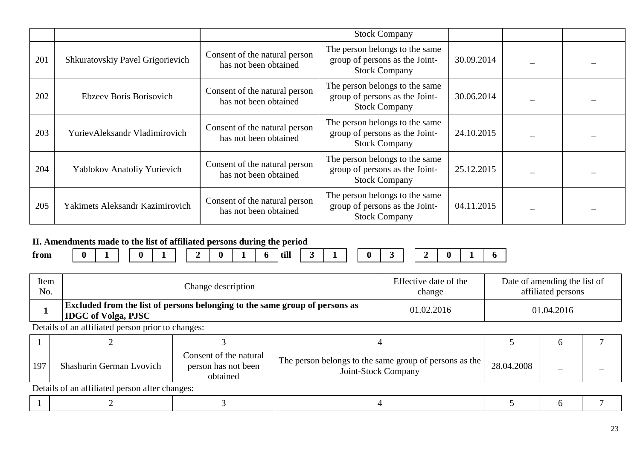|     |                                  |                                                        | <b>Stock Company</b>                                                                     |            |  |
|-----|----------------------------------|--------------------------------------------------------|------------------------------------------------------------------------------------------|------------|--|
| 201 | Shkuratovskiy Pavel Grigorievich | Consent of the natural person<br>has not been obtained | The person belongs to the same<br>group of persons as the Joint-<br><b>Stock Company</b> | 30.09.2014 |  |
| 202 | Ebzeev Boris Borisovich          | Consent of the natural person<br>has not been obtained | The person belongs to the same<br>group of persons as the Joint-<br><b>Stock Company</b> | 30.06.2014 |  |
| 203 | YurievAleksandr Vladimirovich    | Consent of the natural person<br>has not been obtained | The person belongs to the same<br>group of persons as the Joint-<br><b>Stock Company</b> | 24.10.2015 |  |
| 204 | Yablokov Anatoliy Yurievich      | Consent of the natural person<br>has not been obtained | The person belongs to the same<br>group of persons as the Joint-<br><b>Stock Company</b> | 25.12.2015 |  |
| 205 | Yakimets Aleksandr Kazimirovich  | Consent of the natural person<br>has not been obtained | The person belongs to the same<br>group of persons as the Joint-<br><b>Stock Company</b> | 04.11.2015 |  |

#### **II. Amendments made to the list of affiliated persons during the period**

|      |                  |   |        |   |      | $  -$ |  |   |  |   |  |  |
|------|------------------|---|--------|---|------|-------|--|---|--|---|--|--|
| from | $\boldsymbol{0}$ | ◠ | $\sim$ | – | till |       |  | 0 |  | _ |  |  |

| Item<br>No.                                    |                                                                                                           | Change description                                        |                                                                               | Effective date of the<br>Date of amending the list of<br>affiliated persons<br>change |            |               |  |  |  |
|------------------------------------------------|-----------------------------------------------------------------------------------------------------------|-----------------------------------------------------------|-------------------------------------------------------------------------------|---------------------------------------------------------------------------------------|------------|---------------|--|--|--|
|                                                | Excluded from the list of persons belonging to the same group of persons as<br><b>IDGC</b> of Volga, PJSC |                                                           |                                                                               | 01.02.2016                                                                            | 01.04.2016 |               |  |  |  |
|                                                | Details of an affiliated person prior to changes:                                                         |                                                           |                                                                               |                                                                                       |            |               |  |  |  |
|                                                |                                                                                                           |                                                           |                                                                               |                                                                                       |            | $\mathfrak b$ |  |  |  |
| 197                                            | Shashurin German Lvovich                                                                                  | Consent of the natural<br>person has not been<br>obtained | The person belongs to the same group of persons as the<br>Joint-Stock Company |                                                                                       | 28.04.2008 |               |  |  |  |
| Details of an affiliated person after changes: |                                                                                                           |                                                           |                                                                               |                                                                                       |            |               |  |  |  |
|                                                |                                                                                                           |                                                           |                                                                               |                                                                                       |            | $\mathfrak b$ |  |  |  |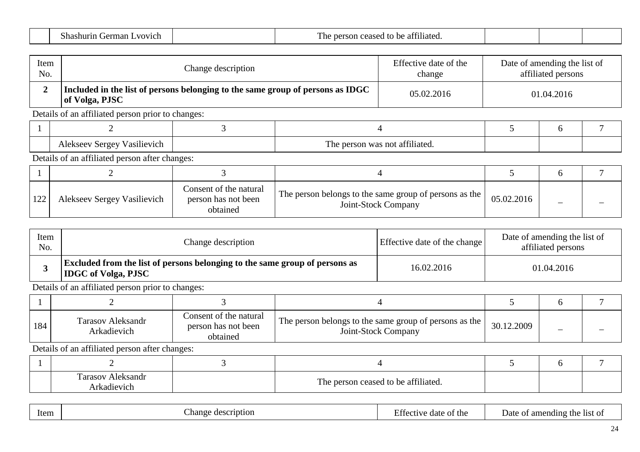| $\sim$<br>- - -<br>vich<br>$\sqrt{N}$<br>m<br>,<br>י י | .<br>–<br>liated<br>-115<br>,,,, |  |  |  |
|--------------------------------------------------------|----------------------------------|--|--|--|
|--------------------------------------------------------|----------------------------------|--|--|--|

| Item<br>No.    |                                                                                                  | Change description                                        |                                                                               | Effective date of the<br>change |            | Date of amending the list of<br>affiliated persons |  |  |  |
|----------------|--------------------------------------------------------------------------------------------------|-----------------------------------------------------------|-------------------------------------------------------------------------------|---------------------------------|------------|----------------------------------------------------|--|--|--|
| $\overline{2}$ | Included in the list of persons belonging to the same group of persons as IDGC<br>of Volga, PJSC |                                                           |                                                                               | 05.02.2016                      | 01.04.2016 |                                                    |  |  |  |
|                | Details of an affiliated person prior to changes:                                                |                                                           |                                                                               |                                 |            |                                                    |  |  |  |
|                |                                                                                                  |                                                           | 4                                                                             |                                 |            | 6                                                  |  |  |  |
|                | Alekseev Sergey Vasilievich                                                                      |                                                           | The person was not affiliated.                                                |                                 |            |                                                    |  |  |  |
|                | Details of an affiliated person after changes:                                                   |                                                           |                                                                               |                                 |            |                                                    |  |  |  |
|                |                                                                                                  |                                                           |                                                                               |                                 |            | 6                                                  |  |  |  |
| 122            | Alekseev Sergey Vasilievich                                                                      | Consent of the natural<br>person has not been<br>obtained | The person belongs to the same group of persons as the<br>Joint-Stock Company |                                 | 05.02.2016 |                                                    |  |  |  |

| Item<br>No. | Change description                                                                                               | Effective date of the change | Date of amending the list of<br>affiliated persons |
|-------------|------------------------------------------------------------------------------------------------------------------|------------------------------|----------------------------------------------------|
|             | <b>Excluded from the list of persons belonging to the same group of persons as</b><br><b>IDGC</b> of Volga, PJSC | 16.02.2016                   | 01.04.2016                                         |

| 184 | <b>Tarasov Aleksandr</b><br>Arkadievich | Consent of the natural<br>person has not been<br>obtained | The person belongs to the same group of persons as the I<br>Joint-Stock Company | 30.12.2009 |  |
|-----|-----------------------------------------|-----------------------------------------------------------|---------------------------------------------------------------------------------|------------|--|

| <b>Tarasov Aleksandr</b><br>$\cdot$ $\cdot$<br>Arkadıevıch | The person ceased to be affiliated. |  |  |
|------------------------------------------------------------|-------------------------------------|--|--|

|--|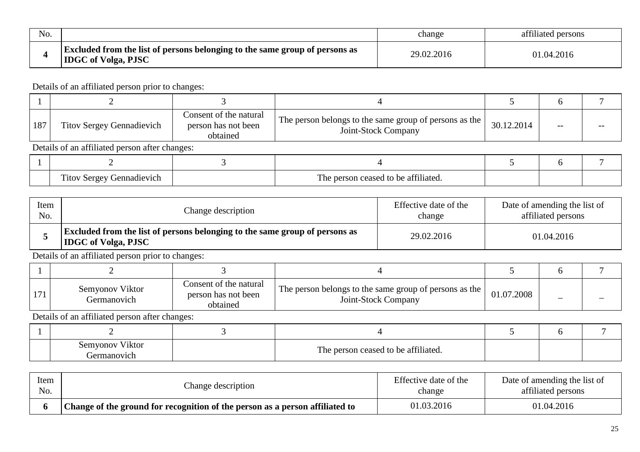| N <sub>o</sub> |                                                                                                                  | change     | affiliated persons |
|----------------|------------------------------------------------------------------------------------------------------------------|------------|--------------------|
|                | <b>Excluded from the list of persons belonging to the same group of persons as</b><br><b>IDGC</b> of Volga, PJSC | 29.02.2016 | 01.04.2016         |

| 187 | <b>Titov Sergey Gennadievich</b>               | Consent of the natural<br>person has not been<br>obtained | The person belongs to the same group of persons as the<br>Joint-Stock Company | 30.12.2014 | -- |  |  |
|-----|------------------------------------------------|-----------------------------------------------------------|-------------------------------------------------------------------------------|------------|----|--|--|
|     | Details of an affiliated person after changes: |                                                           |                                                                               |            |    |  |  |
|     |                                                |                                                           |                                                                               |            |    |  |  |
|     | Titov Sergey Gennadievich                      |                                                           | The person ceased to be affiliated                                            |            |    |  |  |

|             | <b>Titov Sergey Gennadievich</b> | The person ceased to be affiliated. |  |                                 |                                                    |  |
|-------------|----------------------------------|-------------------------------------|--|---------------------------------|----------------------------------------------------|--|
|             |                                  |                                     |  |                                 |                                                    |  |
| Item<br>No. |                                  | Change description                  |  | Effective date of the<br>change | Date of amending the list of<br>affiliated persons |  |

| . |                                                                                                                  | $\ddotsc$ | $\cdots$ |
|---|------------------------------------------------------------------------------------------------------------------|-----------|----------|
|   | <b>Excluded from the list of persons belonging to the same group of persons as</b><br><b>IDGC</b> of Volga, PJSC |           | .04.2016 |

Details of an affiliated person prior to changes:

| 171 | Semyonov Viktor<br>Germanovich | Consent of the natural<br>person has not been<br>obtained | The person belongs to the same group of persons as the<br>Joint-Stock Company | 01.07.2008 | – |  |
|-----|--------------------------------|-----------------------------------------------------------|-------------------------------------------------------------------------------|------------|---|--|

| Viktor<br>Semyonov<br><i>i</i> ermanovich | The person ceased to be affiliated. |  |  |
|-------------------------------------------|-------------------------------------|--|--|

| Item | Change description                                                           | Effective date of the | Date of amending the list of |
|------|------------------------------------------------------------------------------|-----------------------|------------------------------|
| No.  |                                                                              | change                | affiliated persons           |
|      | Change of the ground for recognition of the person as a person affiliated to | 01.03.2016            | 01.04.2016                   |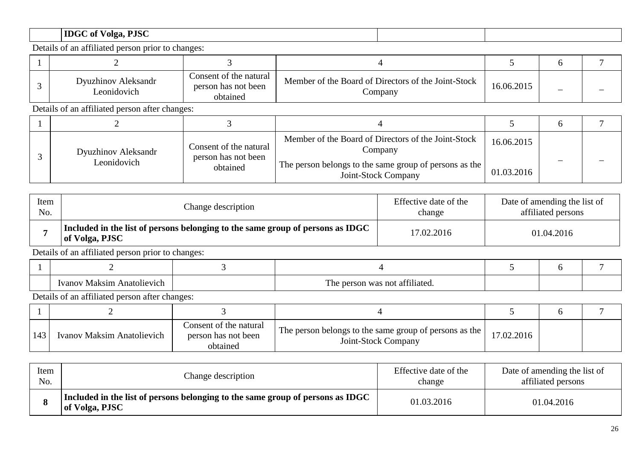# **IDGC of Volga, PJSC**

Details of an affiliated person prior to changes:

| Dyuzhinov Aleksandr<br>Leonidovich | Consent of the natural<br>person has not been<br>obtained | Member of the Board of Directors of the Joint-Stock<br>Company | 16.06.2015 | – |
|------------------------------------|-----------------------------------------------------------|----------------------------------------------------------------|------------|---|

Details of an affiliated person after changes:

| <b>Dyuzhinov Aleksandr</b><br>Leonidovich | Consent of the natural<br>person has not been<br>obtained | Member of the Board of Directors of the Joint-Stock<br>Company<br>The person belongs to the same group of persons as the | 16.06.2015<br>01.03.2016 |  |
|-------------------------------------------|-----------------------------------------------------------|--------------------------------------------------------------------------------------------------------------------------|--------------------------|--|
|                                           |                                                           | Joint-Stock Company                                                                                                      |                          |  |

| Item<br>No.          | Change description                                                                               | Effective date of the<br>change | Date of amending the list of<br>affiliated persons |
|----------------------|--------------------------------------------------------------------------------------------------|---------------------------------|----------------------------------------------------|
|                      | Included in the list of persons belonging to the same group of persons as IDGC<br>of Volga, PJSC | 17.02.2016                      | 01.04.2016                                         |
| $\sim$ $\sim$ $\sim$ | $\sim$ $\sim$ $\sim$ $\sim$ $\sim$                                                               |                                 |                                                    |

Details of an affiliated person prior to changes:

| √laksim<br>`natolievich<br>Ivanov | $\sim$ $\sim$<br><b>m</b><br>attiliated<br>n∩t<br>1 he<br>was<br>ner<br>эn<br>א מ<br>. |  |  |
|-----------------------------------|----------------------------------------------------------------------------------------|--|--|

| 143 | Ivanov Maksim Anatolievich | Consent of the natural<br>person has not been<br>obtained | The person belongs to the same group of persons as the<br>Joint-Stock Company | 17.02.2016 |  |
|-----|----------------------------|-----------------------------------------------------------|-------------------------------------------------------------------------------|------------|--|

| Item | Change description                                                                               | Effective date of the | Date of amending the list of |
|------|--------------------------------------------------------------------------------------------------|-----------------------|------------------------------|
| No.  |                                                                                                  | change                | affiliated persons           |
|      | Included in the list of persons belonging to the same group of persons as IDGC<br>of Volga, PJSC | 01.03.2016            | 01.04.2016                   |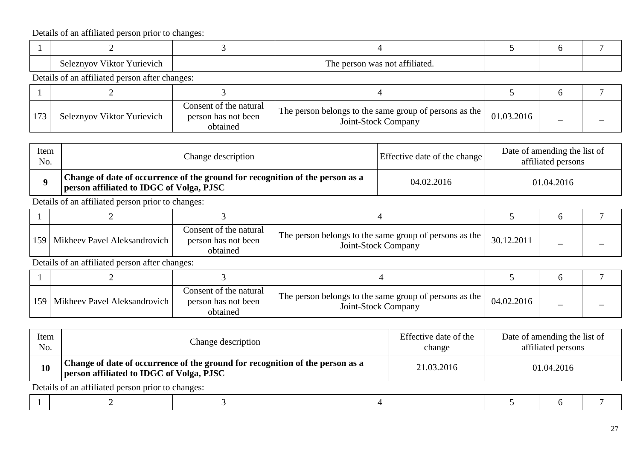| . .<br>Y urievich<br>いいたい<br>170 T<br>$\sim$ $\sim$ $\sim$ | $\sim$ $\sim$ $\sim$<br>$\mathbf{r}$<br>, not<br>t affiliate⊂<br>. was<br>.<br>T TIZ |  |  |
|------------------------------------------------------------|--------------------------------------------------------------------------------------|--|--|

Details of an affiliated person after changes:

| Seleznyov Viktor Yurievich | Consent of the natural<br>person has not been<br>obtained | The person belongs to the same group of persons as the<br>Joint-Stock Company | 01.03.2016 |  |
|----------------------------|-----------------------------------------------------------|-------------------------------------------------------------------------------|------------|--|

| Item<br>No. | Change description                                                                                                               | Effective date of the change | Date of amending the list of<br>affiliated persons |
|-------------|----------------------------------------------------------------------------------------------------------------------------------|------------------------------|----------------------------------------------------|
|             | Change of date of occurrence of the ground for recognition of the person as a<br><b>person affiliated to IDGC of Volga, PJSC</b> | 04.02.2016                   | 01.04.2016                                         |

Details of an affiliated person prior to changes:

| 159   Mikheev Pavel Aleksandrovich | Consent of the natural<br>person has not been<br>obtained | The person belongs to the same group of persons as the<br>Joint-Stock Company | 30.12.2011 |  |
|------------------------------------|-----------------------------------------------------------|-------------------------------------------------------------------------------|------------|--|

| 159   Mikheev Pavel Aleksandrovich | Consent of the natural<br>person has not been<br>obtained | The person belongs to the same group of persons as the<br>Joint-Stock Company | 04.02.2016 |  |
|------------------------------------|-----------------------------------------------------------|-------------------------------------------------------------------------------|------------|--|

| Item<br>No. |                                                                                                                           | Change description |  | Effective date of the<br>change | Date of amending the list of<br>affiliated persons |  |
|-------------|---------------------------------------------------------------------------------------------------------------------------|--------------------|--|---------------------------------|----------------------------------------------------|--|
| 10          | Change of date of occurrence of the ground for recognition of the person as a<br>person affiliated to IDGC of Volga, PJSC |                    |  | 21.03.2016                      | 01.04.2016                                         |  |
|             | Details of an affiliated person prior to changes:                                                                         |                    |  |                                 |                                                    |  |
|             |                                                                                                                           |                    |  |                                 |                                                    |  |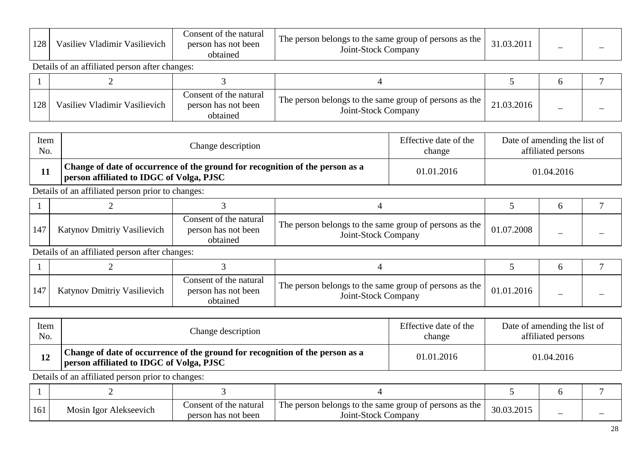| 100<br>$1 \angle C$ | $\cdots$<br>$\cdots$<br><b>* **</b><br>Vladımır<br>Vasilievich<br>V asılıev | t the natural<br>Jonsent :<br>person has not been<br>obtained | The person belongs to the same group of<br>t persons as the<br>-Stock Company<br>Joint-J | 31.03.201 | _ |  |
|---------------------|-----------------------------------------------------------------------------|---------------------------------------------------------------|------------------------------------------------------------------------------------------|-----------|---|--|
|---------------------|-----------------------------------------------------------------------------|---------------------------------------------------------------|------------------------------------------------------------------------------------------|-----------|---|--|

Details of an affiliated person after changes:

| 128 | Vasiliev Vladimir Vasilievich | Consent of the natural<br>person has not been<br>obtained | The person belongs to the same group of persons as the<br>Joint-Stock Company | 21.03.2016 |  |
|-----|-------------------------------|-----------------------------------------------------------|-------------------------------------------------------------------------------|------------|--|

| Item | Change description                                                                                                               | Effective date of the | Date of amending the list of |
|------|----------------------------------------------------------------------------------------------------------------------------------|-----------------------|------------------------------|
| No.  |                                                                                                                                  | change                | affiliated persons           |
|      | Change of date of occurrence of the ground for recognition of the person as a<br><b>person affiliated to IDGC of Volga, PJSC</b> | 01.01.2016            | 01.04.2016                   |

Details of an affiliated person prior to changes:

| <b>Katynov Dmitriy Vasilievich</b> | Consent of the natural<br>person has not been<br>obtained | The person belongs to the same group of persons as the<br>Joint-Stock Company | 01.07.2008 |  |
|------------------------------------|-----------------------------------------------------------|-------------------------------------------------------------------------------|------------|--|

Details of an affiliated person after changes:

| 147 | <b>Katynov Dmitriy Vasilievich</b> | Consent of the natural<br>person has not been<br>obtained | The person belongs to the same group of persons as the<br>Joint-Stock Company | 01.01.2016 |  |
|-----|------------------------------------|-----------------------------------------------------------|-------------------------------------------------------------------------------|------------|--|

| Item | Change description                                                                                                        | Effective date of the | Date of amending the list of |
|------|---------------------------------------------------------------------------------------------------------------------------|-----------------------|------------------------------|
| No.  |                                                                                                                           | change                | affiliated persons           |
|      | Change of date of occurrence of the ground for recognition of the person as a<br>person affiliated to IDGC of Volga, PJSC | 01.01.2016            | 01.04.2016                   |

Details of an affiliated person prior to changes:

| 161 | Mosin Igor Alekseevich | Consent of the natural<br>person has not been | The person belongs to the same group of persons as the<br>Joint-Stock Company | 30.03.2015 | _ |  |
|-----|------------------------|-----------------------------------------------|-------------------------------------------------------------------------------|------------|---|--|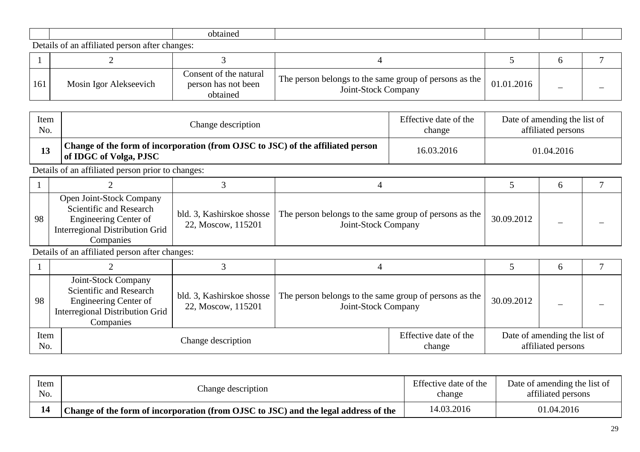|  |  | วhtainเ |  |  |  |  |
|--|--|---------|--|--|--|--|
|--|--|---------|--|--|--|--|

| 161 | Mosin Igor Alekseevich | Consent of the natural<br>person has not been<br>obtained | The person belongs to the same group of persons as the  <br>Joint-Stock Company | J1.01.2016 |  |
|-----|------------------------|-----------------------------------------------------------|---------------------------------------------------------------------------------|------------|--|

| Item<br>No. |                                                                                                                              | Change description                              |                                                                               | Effective date of the<br>change | Date of amending the list of<br>affiliated persons |                                                    |   |
|-------------|------------------------------------------------------------------------------------------------------------------------------|-------------------------------------------------|-------------------------------------------------------------------------------|---------------------------------|----------------------------------------------------|----------------------------------------------------|---|
| 13          | Change of the form of incorporation (from OJSC to JSC) of the affiliated person<br>of IDGC of Volga, PJSC                    |                                                 |                                                                               | 16.03.2016                      | 01.04.2016                                         |                                                    |   |
|             | Details of an affiliated person prior to changes:                                                                            |                                                 |                                                                               |                                 |                                                    |                                                    |   |
|             |                                                                                                                              | 3                                               | 4                                                                             |                                 | 5                                                  | 6                                                  |   |
| 98          | Open Joint-Stock Company<br>Scientific and Research<br>Engineering Center of<br>Interregional Distribution Grid<br>Companies | bld. 3, Kashirskoe shosse<br>22, Moscow, 115201 | The person belongs to the same group of persons as the<br>Joint-Stock Company |                                 | 30.09.2012                                         |                                                    |   |
|             | Details of an affiliated person after changes:                                                                               |                                                 |                                                                               |                                 |                                                    |                                                    |   |
|             | 2                                                                                                                            | 3                                               | 4                                                                             |                                 | 5                                                  | 6                                                  | 7 |
| 98          | Joint-Stock Company<br>Scientific and Research<br>Engineering Center of<br>Interregional Distribution Grid<br>Companies      | bld. 3, Kashirskoe shosse<br>22, Moscow, 115201 | The person belongs to the same group of persons as the<br>Joint-Stock Company |                                 | 30.09.2012                                         |                                                    |   |
| Item<br>No. |                                                                                                                              | Change description                              |                                                                               | Effective date of the<br>change |                                                    | Date of amending the list of<br>affiliated persons |   |

| Item | Change description                                                                  | Effective date of the | Date of amending the list of |
|------|-------------------------------------------------------------------------------------|-----------------------|------------------------------|
| No.  |                                                                                     | change                | affiliated persons           |
|      | Change of the form of incorporation (from OJSC to JSC) and the legal address of the | 14.03.2016            | 01.04.2016                   |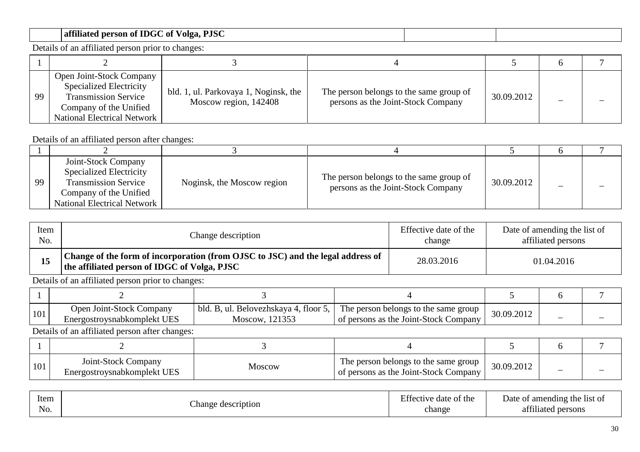### **affiliated person of IDGC of Volga, PJSC**

Details of an affiliated person prior to changes:

| 99 | Open Joint-Stock Company<br><b>Specialized Electricity</b><br><b>Transmission Service</b><br>Company of the Unified<br><b>National Electrical Network</b> | bld. 1, ul. Parkovaya 1, Noginsk, the<br>Moscow region, 142408 | The person belongs to the same group of<br>persons as the Joint-Stock Company | 30.09.2012 |  |
|----|-----------------------------------------------------------------------------------------------------------------------------------------------------------|----------------------------------------------------------------|-------------------------------------------------------------------------------|------------|--|

Details of an affiliated person after changes:

| 99 | Joint-Stock Company<br><b>Specialized Electricity</b><br><b>Transmission Service</b><br>Company of the Unified<br>National Electrical Network | Noginsk, the Moscow region | The person belongs to the same group of<br>persons as the Joint-Stock Company | 30.09.2012 |  |
|----|-----------------------------------------------------------------------------------------------------------------------------------------------|----------------------------|-------------------------------------------------------------------------------|------------|--|

| Item | Change description                                                                                                              | Effective date of the | Date of amending the list of |
|------|---------------------------------------------------------------------------------------------------------------------------------|-----------------------|------------------------------|
| No.  |                                                                                                                                 | change                | affiliated persons           |
|      | Change of the form of incorporation (from OJSC to JSC) and the legal address of<br>the affiliated person of IDGC of Volga, PJSC | 28.03.2016            | 01.04.2016                   |

Details of an affiliated person prior to changes:

| 101 | <b>Open Joint-Stock Company</b><br>Energostroysnabkomplekt UES | bld. B, ul. Belovezhskaya 4, floor 5,<br>12135?<br>Moscow. | $\therefore$ The person belongs to the same group $\perp$<br>of persons as the Joint-Stock Company | 30.09.2012 |  |
|-----|----------------------------------------------------------------|------------------------------------------------------------|----------------------------------------------------------------------------------------------------|------------|--|

| 101 | Joint-Stock Company<br>Energostroysnabkomplekt UES | Moscow | The person belongs to the same group<br>of persons as the Joint-Stock Company | 30.09.2012 |  |
|-----|----------------------------------------------------|--------|-------------------------------------------------------------------------------|------------|--|

| $T^{\alpha}$<br>Item<br>ЕĦ<br>$\sim$<br>Change description<br>No. | Date of amending the list of<br>date of the<br>tective<br>0.011<br>change<br>persons<br>affiliated |  |
|-------------------------------------------------------------------|----------------------------------------------------------------------------------------------------|--|
|-------------------------------------------------------------------|----------------------------------------------------------------------------------------------------|--|